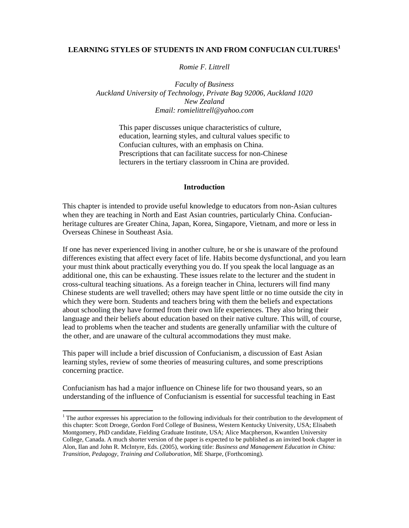# **LEARNING STYLES OF STUDENTS IN AND FROM CONFUCIAN CULTURES<sup>1</sup>**

# *Romie F. Littrell*

*Faculty of Business Auckland University of Technology, Private Bag 92006, Auckland 1020 New Zealand Email: romielittrell@yahoo.com*

> This paper discusses unique characteristics of culture, education, learning styles, and cultural values specific to Confucian cultures, with an emphasis on China. Prescriptions that can facilitate success for non-Chinese lecturers in the tertiary classroom in China are provided.

#### **Introduction**

This chapter is intended to provide useful knowledge to educators from non-Asian cultures when they are teaching in North and East Asian countries, particularly China. Confucianheritage cultures are Greater China, Japan, Korea, Singapore, Vietnam, and more or less in Overseas Chinese in Southeast Asia.

If one has never experienced living in another culture, he or she is unaware of the profound differences existing that affect every facet of life. Habits become dysfunctional, and you learn your must think about practically everything you do. If you speak the local language as an additional one, this can be exhausting. These issues relate to the lecturer and the student in cross-cultural teaching situations. As a foreign teacher in China, lecturers will find many Chinese students are well travelled; others may have spent little or no time outside the city in which they were born. Students and teachers bring with them the beliefs and expectations about schooling they have formed from their own life experiences. They also bring their language and their beliefs about education based on their native culture. This will, of course, lead to problems when the teacher and students are generally unfamiliar with the culture of the other, and are unaware of the cultural accommodations they must make.

This paper will include a brief discussion of Confucianism, a discussion of East Asian learning styles, review of some theories of measuring cultures, and some prescriptions concerning practice.

Confucianism has had a major influence on Chinese life for two thousand years, so an understanding of the influence of Confucianism is essential for successful teaching in East

-

<sup>&</sup>lt;sup>1</sup> The author expresses his appreciation to the following individuals for their contribution to the development of this chapter: Scott Droege, Gordon Ford College of Business, Western Kentucky University, USA; Elisabeth Montgomery, PhD candidate, Fielding Graduate Institute, USA; Alice Macpherson, Kwantlen University College, Canada. A much shorter version of the paper is expected to be published as an invited book chapter in Alon, Ilan and John R. McIntyre, Eds. (2005), working title: *Business and Management Education in China: Transition, Pedagogy, Training and Collaboration*, ME Sharpe, (Forthcoming).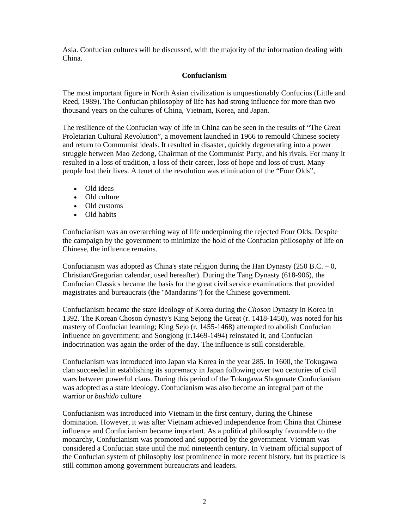Asia. Confucian cultures will be discussed, with the majority of the information dealing with China.

# **Confucianism**

The most important figure in North Asian civilization is unquestionably Confucius (Little and Reed, 1989). The Confucian philosophy of life has had strong influence for more than two thousand years on the cultures of China, Vietnam, Korea, and Japan.

The resilience of the Confucian way of life in China can be seen in the results of "The Great Proletarian Cultural Revolution", a movement launched in 1966 to remould Chinese society and return to Communist ideals. It resulted in disaster, quickly degenerating into a power struggle between Mao Zedong, Chairman of the Communist Party, and his rivals. For many it resulted in a loss of tradition, a loss of their career, loss of hope and loss of trust. Many people lost their lives. A tenet of the revolution was elimination of the "Four Olds",

- Old ideas
- Old culture
- Old customs
- Old habits

Confucianism was an overarching way of life underpinning the rejected Four Olds. Despite the campaign by the government to minimize the hold of the Confucian philosophy of life on Chinese, the influence remains.

Confucianism was adopted as China's state religion during the Han Dynasty  $(250 B.C. - 0,$ Christian/Gregorian calendar, used hereafter). During the Tang Dynasty (618-906), the Confucian Classics became the basis for the great civil service examinations that provided magistrates and bureaucrats (the "Mandarins") for the Chinese government.

Confucianism became the state ideology of Korea during the *Choson* Dynasty in Korea in 1392. The Korean Choson dynasty's King Sejong the Great (r. 1418-1450), was noted for his mastery of Confucian learning; King Sejo (r. 1455-1468) attempted to abolish Confucian influence on government; and Songjong (r.1469-1494) reinstated it, and Confucian indoctrination was again the order of the day. The influence is still considerable.

Confucianism was introduced into Japan via Korea in the year 285. In 1600, the Tokugawa clan succeeded in establishing its supremacy in Japan following over two centuries of civil wars between powerful clans. During this period of the Tokugawa Shogunate Confucianism was adopted as a state ideology. Confucianism was also become an integral part of the warrior or *bushido* culture

Confucianism was introduced into Vietnam in the first century, during the Chinese domination. However, it was after Vietnam achieved independence from China that Chinese influence and Confucianism became important. As a political philosophy favourable to the monarchy, Confucianism was promoted and supported by the government. Vietnam was considered a Confucian state until the mid nineteenth century. In Vietnam official support of the Confucian system of philosophy lost prominence in more recent history, but its practice is still common among government bureaucrats and leaders.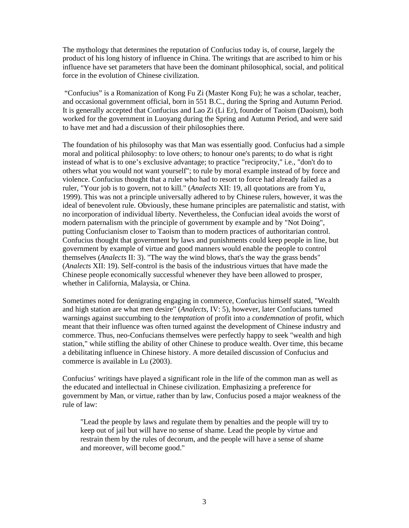The mythology that determines the reputation of Confucius today is, of course, largely the product of his long history of influence in China. The writings that are ascribed to him or his influence have set parameters that have been the dominant philosophical, social, and political force in the evolution of Chinese civilization.

 "Confucius" is a Romanization of Kong Fu Zi (Master Kong Fu); he was a scholar, teacher, and occasional government official, born in 551 B.C., during the Spring and Autumn Period. It is generally accepted that Confucius and Lao Zi (Li Er), founder of Taoism (Daoism), both worked for the government in Luoyang during the Spring and Autumn Period, and were said to have met and had a discussion of their philosophies there.

The foundation of his philosophy was that Man was essentially good. Confucius had a simple moral and political philosophy: to love others; to honour one's parents; to do what is right instead of what is to one's exclusive advantage; to practice "reciprocity," i.e., "don't do to others what you would not want yourself"; to rule by moral example instead of by force and violence. Confucius thought that a ruler who had to resort to force had already failed as a ruler, "Your job is to govern, not to kill." (*Analects* XII: 19, all quotations are from Yu, 1999). This was not a principle universally adhered to by Chinese rulers, however, it was the ideal of benevolent rule. Obviously, these humane principles are paternalistic and statist, with no incorporation of individual liberty. Nevertheless, the Confucian ideal avoids the worst of modern paternalism with the principle of government by example and by "Not Doing", putting Confucianism closer to Taoism than to modern practices of authoritarian control. Confucius thought that government by laws and punishments could keep people in line, but government by example of virtue and good manners would enable the people to control themselves (*Analects* II: 3). "The way the wind blows, that's the way the grass bends" (*Analects* XII: 19). Self-control is the basis of the industrious virtues that have made the Chinese people economically successful whenever they have been allowed to prosper, whether in California, Malaysia, or China.

Sometimes noted for denigrating engaging in commerce, Confucius himself stated, "Wealth and high station are what men desire" (*Analects*, IV: 5), however, later Confucians turned warnings against succumbing to the *temptation* of profit into a *condemnation* of profit, which meant that their influence was often turned against the development of Chinese industry and commerce. Thus, neo-Confucians themselves were perfectly happy to seek "wealth and high station," while stifling the ability of other Chinese to produce wealth. Over time, this became a debilitating influence in Chinese history. A more detailed discussion of Confucius and commerce is available in Lu (2003).

Confucius' writings have played a significant role in the life of the common man as well as the educated and intellectual in Chinese civilization. Emphasizing a preference for government by Man, or virtue, rather than by law, Confucius posed a major weakness of the rule of law:

"Lead the people by laws and regulate them by penalties and the people will try to keep out of jail but will have no sense of shame. Lead the people by virtue and restrain them by the rules of decorum, and the people will have a sense of shame and moreover, will become good."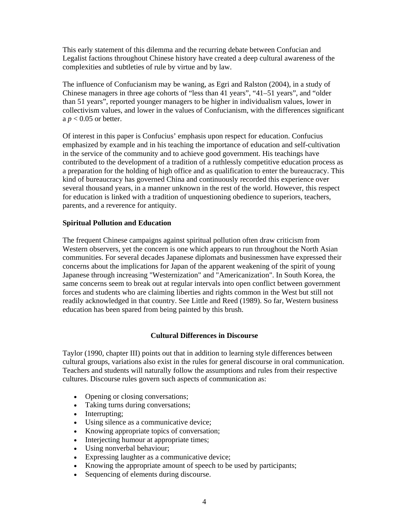This early statement of this dilemma and the recurring debate between Confucian and Legalist factions throughout Chinese history have created a deep cultural awareness of the complexities and subtleties of rule by virtue and by law.

The influence of Confucianism may be waning, as Egri and Ralston (2004), in a study of Chinese managers in three age cohorts of "less than 41 years", "41–51 years", and "older than 51 years", reported younger managers to be higher in individualism values, lower in collectivism values, and lower in the values of Confucianism, with the differences significant a *p* < 0.05 or better.

Of interest in this paper is Confucius' emphasis upon respect for education. Confucius emphasized by example and in his teaching the importance of education and self-cultivation in the service of the community and to achieve good government. His teachings have contributed to the development of a tradition of a ruthlessly competitive education process as a preparation for the holding of high office and as qualification to enter the bureaucracy. This kind of bureaucracy has governed China and continuously recorded this experience over several thousand years, in a manner unknown in the rest of the world. However, this respect for education is linked with a tradition of unquestioning obedience to superiors, teachers, parents, and a reverence for antiquity.

## **Spiritual Pollution and Education**

The frequent Chinese campaigns against spiritual pollution often draw criticism from Western observers, yet the concern is one which appears to run throughout the North Asian communities. For several decades Japanese diplomats and businessmen have expressed their concerns about the implications for Japan of the apparent weakening of the spirit of young Japanese through increasing "Westernization" and "Americanization". In South Korea, the same concerns seem to break out at regular intervals into open conflict between government forces and students who are claiming liberties and rights common in the West but still not readily acknowledged in that country. See Little and Reed (1989). So far, Western business education has been spared from being painted by this brush.

# **Cultural Differences in Discourse**

Taylor (1990, chapter III) points out that in addition to learning style differences between cultural groups, variations also exist in the rules for general discourse in oral communication. Teachers and students will naturally follow the assumptions and rules from their respective cultures. Discourse rules govern such aspects of communication as:

- Opening or closing conversations;
- Taking turns during conversations;
- Interrupting;
- Using silence as a communicative device;
- Knowing appropriate topics of conversation;
- Interjecting humour at appropriate times;
- Using nonverbal behaviour;
- Expressing laughter as a communicative device;
- Knowing the appropriate amount of speech to be used by participants;
- Sequencing of elements during discourse.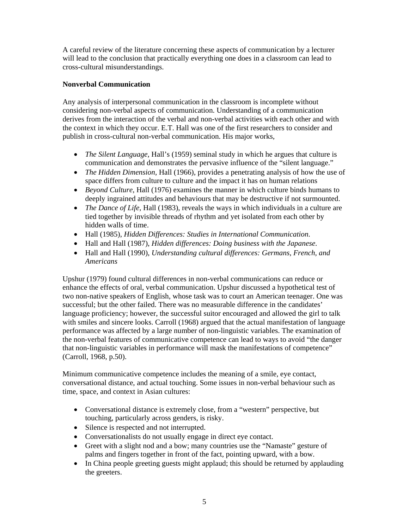A careful review of the literature concerning these aspects of communication by a lecturer will lead to the conclusion that practically everything one does in a classroom can lead to cross-cultural misunderstandings.

# **Nonverbal Communication**

Any analysis of interpersonal communication in the classroom is incomplete without considering non-verbal aspects of communication. Understanding of a communication derives from the interaction of the verbal and non-verbal activities with each other and with the context in which they occur. E.T. Hall was one of the first researchers to consider and publish in cross-cultural non-verbal communication. His major works,

- *The Silent Language*, Hall's (1959) seminal study in which he argues that culture is communication and demonstrates the pervasive influence of the "silent language."
- *The Hidden Dimension*, Hall (1966), provides a penetrating analysis of how the use of space differs from culture to culture and the impact it has on human relations
- *Beyond Culture*, Hall (1976) examines the manner in which culture binds humans to deeply ingrained attitudes and behaviours that may be destructive if not surmounted.
- *The Dance of Life*, Hall (1983), reveals the ways in which individuals in a culture are tied together by invisible threads of rhythm and yet isolated from each other by hidden walls of time.
- Hall (1985), *Hidden Differences: Studies in International Communication*.
- Hall and Hall (1987), *Hidden differences: Doing business with the Japanese*.
- Hall and Hall (1990), *Understanding cultural differences: Germans, French, and Americans*

Upshur (1979) found cultural differences in non-verbal communications can reduce or enhance the effects of oral, verbal communication. Upshur discussed a hypothetical test of two non-native speakers of English, whose task was to court an American teenager. One was successful; but the other failed. There was no measurable difference in the candidates' language proficiency; however, the successful suitor encouraged and allowed the girl to talk with smiles and sincere looks. Carroll (1968) argued that the actual manifestation of language performance was affected by a large number of non-linguistic variables. The examination of the non-verbal features of communicative competence can lead to ways to avoid "the danger that non-linguistic variables in performance will mask the manifestations of competence" (Carroll, 1968, p.50).

Minimum communicative competence includes the meaning of a smile, eye contact, conversational distance, and actual touching. Some issues in non-verbal behaviour such as time, space, and context in Asian cultures:

- Conversational distance is extremely close, from a "western" perspective, but touching, particularly across genders, is risky.
- Silence is respected and not interrupted.
- Conversationalists do not usually engage in direct eye contact.
- Greet with a slight nod and a bow; many countries use the "Namaste" gesture of palms and fingers together in front of the fact, pointing upward, with a bow.
- In China people greeting guests might applaud; this should be returned by applauding the greeters.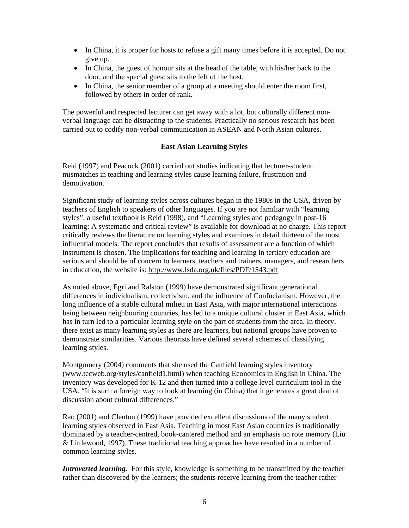- In China, it is proper for hosts to refuse a gift many times before it is accepted. Do not give up.
- In China, the guest of honour sits at the head of the table, with his/her back to the door, and the special guest sits to the left of the host.
- In China, the senior member of a group at a meeting should enter the room first, followed by others in order of rank.

The powerful and respected lecturer can get away with a lot, but culturally different nonverbal language can be distracting to the students. Practically no serious research has been carried out to codify non-verbal communication in ASEAN and North Asian cultures.

## **East Asian Learning Styles**

Reid (1997) and Peacock (2001) carried out studies indicating that lecturer-student mismatches in teaching and learning styles cause learning failure, frustration and demotivation.

Significant study of learning styles across cultures began in the 1980s in the USA, driven by teachers of English to speakers of other languages. If you are not familiar with "learning styles", a useful textbook is Reid (1998), and "Learning styles and pedagogy in post-16 learning: A systematic and critical review" is available for download at no charge. This report critically reviews the literature on learning styles and examines in detail thirteen of the most influential models. The report concludes that results of assessment are a function of which instrument is chosen. The implications for teaching and learning in tertiary education are serious and should be of concern to learners, teachers and trainers, managers, and researchers in education, the website is: http://www.lsda.org.uk/files/PDF/1543.pdf

As noted above, Egri and Ralston (1999) have demonstrated significant generational differences in individualism, collectivism, and the influence of Confucianism. However, the long influence of a stable cultural milieu in East Asia, with major international interactions being between neighbouring countries, has led to a unique cultural cluster in East Asia, which has in turn led to a particular learning style on the part of students from the area. In theory, there exist as many learning styles as there are learners, but national groups have proven to demonstrate similarities. Various theorists have defined several schemes of classifying learning styles.

Montgomery (2004) comments that she used the Canfield learning styles inventory (www.tecweb.org/styles/canfield1.html) when teaching Economics in English in China. The inventory was developed for K-12 and then turned into a college level curriculum tool in the USA. "It is such a foreign way to look at learning (in China) that it generates a great deal of discussion about cultural differences."

Rao (2001) and Clenton (1999) have provided excellent discussions of the many student learning styles observed in East Asia. Teaching in most East Asian countries is traditionally dominated by a teacher-centred, book-cantered method and an emphasis on rote memory (Liu & Littlewood, 1997). These traditional teaching approaches have resulted in a number of common learning styles.

*Introverted learning.* For this style, knowledge is something to be transmitted by the teacher rather than discovered by the learners; the students receive learning from the teacher rather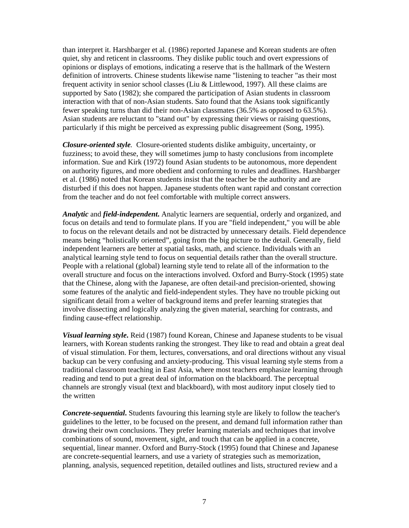than interpret it. Harshbarger et al. (1986) reported Japanese and Korean students are often quiet, shy and reticent in classrooms. They dislike public touch and overt expressions of opinions or displays of emotions, indicating a reserve that is the hallmark of the Western definition of introverts. Chinese students likewise name "listening to teacher "as their most frequent activity in senior school classes (Liu & Littlewood, 1997). All these claims are supported by Sato (1982); she compared the participation of Asian students in classroom interaction with that of non-Asian students. Sato found that the Asians took significantly fewer speaking turns than did their non-Asian classmates (36.5% as opposed to 63.5%). Asian students are reluctant to "stand out" by expressing their views or raising questions, particularly if this might be perceived as expressing public disagreement (Song, 1995).

*Closure-oriented style.* Closure-oriented students dislike ambiguity, uncertainty, or fuzziness; to avoid these, they will sometimes jump to hasty conclusions from incomplete information. Sue and Kirk (1972) found Asian students to be autonomous, more dependent on authority figures, and more obedient and conforming to rules and deadlines. Harshbarger et al. (1986) noted that Korean students insist that the teacher be the authority and are disturbed if this does not happen. Japanese students often want rapid and constant correction from the teacher and do not feel comfortable with multiple correct answers.

*Analytic* and *field-independent***.** Analytic learners are sequential, orderly and organized, and focus on details and tend to formulate plans. If you are "field independent," you will be able to focus on the relevant details and not be distracted by unnecessary details. Field dependence means being "holistically oriented", going from the big picture to the detail. Generally, field independent learners are better at spatial tasks, math, and science. Individuals with an analytical learning style tend to focus on sequential details rather than the overall structure. People with a relational (global) learning style tend to relate all of the information to the overall structure and focus on the interactions involved. Oxford and Burry-Stock (1995) state that the Chinese, along with the Japanese, are often detail-and precision-oriented, showing some features of the analytic and field-independent styles. They have no trouble picking out significant detail from a welter of background items and prefer learning strategies that involve dissecting and logically analyzing the given material, searching for contrasts, and finding cause-effect relationship.

*Visual learning style***.** Reid (1987) found Korean, Chinese and Japanese students to be visual learners, with Korean students ranking the strongest. They like to read and obtain a great deal of visual stimulation. For them, lectures, conversations, and oral directions without any visual backup can be very confusing and anxiety-producing. This visual learning style stems from a traditional classroom teaching in East Asia, where most teachers emphasize learning through reading and tend to put a great deal of information on the blackboard. The perceptual channels are strongly visual (text and blackboard), with most auditory input closely tied to the written

*Concrete-sequential***.** Students favouring this learning style are likely to follow the teacher's guidelines to the letter, to be focused on the present, and demand full information rather than drawing their own conclusions. They prefer learning materials and techniques that involve combinations of sound, movement, sight, and touch that can be applied in a concrete, sequential, linear manner. Oxford and Burry-Stock (1995) found that Chinese and Japanese are concrete-sequential learners, and use a variety of strategies such as memorization, planning, analysis, sequenced repetition, detailed outlines and lists, structured review and a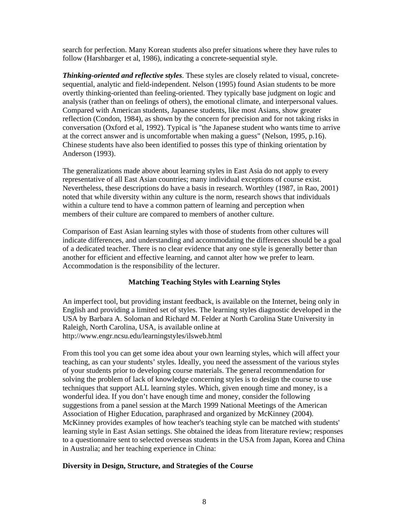search for perfection. Many Korean students also prefer situations where they have rules to follow (Harshbarger et al, 1986), indicating a concrete-sequential style.

*Thinking-oriented and reflective styles*. These styles are closely related to visual, concretesequential, analytic and field-independent. Nelson (1995) found Asian students to be more overtly thinking-oriented than feeling-oriented. They typically base judgment on logic and analysis (rather than on feelings of others), the emotional climate, and interpersonal values. Compared with American students, Japanese students, like most Asians, show greater reflection (Condon, 1984), as shown by the concern for precision and for not taking risks in conversation (Oxford et al, 1992). Typical is "the Japanese student who wants time to arrive at the correct answer and is uncomfortable when making a guess" (Nelson, 1995, p.16). Chinese students have also been identified to posses this type of thinking orientation by Anderson (1993).

The generalizations made above about learning styles in East Asia do not apply to every representative of all East Asian countries; many individual exceptions of course exist. Nevertheless, these descriptions do have a basis in research. Worthley (1987, in Rao, 2001) noted that while diversity within any culture is the norm, research shows that individuals within a culture tend to have a common pattern of learning and perception when members of their culture are compared to members of another culture.

Comparison of East Asian learning styles with those of students from other cultures will indicate differences, and understanding and accommodating the differences should be a goal of a dedicated teacher. There is no clear evidence that any one style is generally better than another for efficient and effective learning, and cannot alter how we prefer to learn. Accommodation is the responsibility of the lecturer.

# **Matching Teaching Styles with Learning Styles**

An imperfect tool, but providing instant feedback, is available on the Internet, being only in English and providing a limited set of styles. The learning styles diagnostic developed in the USA by Barbara A. Soloman and Richard M. Felder at North Carolina State University in Raleigh, North Carolina, USA, is available online at http://www.engr.ncsu.edu/learningstyles/ilsweb.html

From this tool you can get some idea about your own learning styles, which will affect your teaching, as can your students' styles. Ideally, you need the assessment of the various styles of your students prior to developing course materials. The general recommendation for solving the problem of lack of knowledge concerning styles is to design the course to use techniques that support ALL learning styles. Which, given enough time and money, is a wonderful idea. If you don't have enough time and money, consider the following suggestions from a panel session at the March 1999 National Meetings of the American Association of Higher Education, paraphrased and organized by McKinney (2004). McKinney provides examples of how teacher's teaching style can be matched with students' learning style in East Asian settings. She obtained the ideas from literature review; responses to a questionnaire sent to selected overseas students in the USA from Japan, Korea and China in Australia; and her teaching experience in China:

#### **Diversity in Design, Structure, and Strategies of the Course**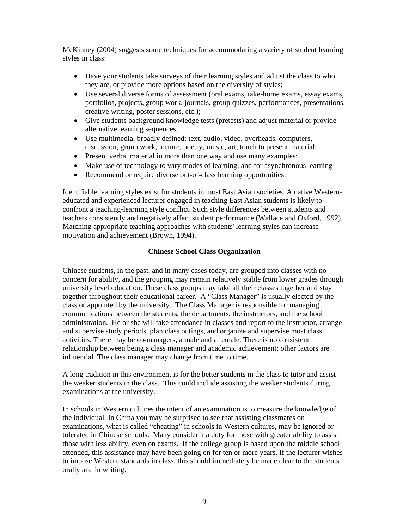McKinney (2004) suggests some techniques for accommodating a variety of student learning styles in class:

- Have your students take surveys of their learning styles and adjust the class to who they are, or provide more options based on the diversity of styles;
- Use several diverse forms of assessment (oral exams, take-home exams, essay exams, portfolios, projects, group work, journals, group quizzes, performances, presentations, creative writing, poster sessions, etc.);
- Give students background knowledge tests (pretests) and adjust material or provide alternative learning sequences;
- Use multimedia, broadly defined: text, audio, video, overheads, computers, discussion, group work, lecture, poetry, music, art, touch to present material;
- Present verbal material in more than one way and use many examples;
- Make use of technology to vary modes of learning, and for asynchronous learning
- Recommend or require diverse out-of-class learning opportunities.

Identifiable learning styles exist for students in most East Asian societies. A native Westerneducated and experienced lecturer engaged in teaching East Asian students is likely to confront a teaching-learning style conflict. Such style differences between students and teachers consistently and negatively affect student performance (Wallace and Oxford, 1992). Matching appropriate teaching approaches with students' learning styles can increase motivation and achievement (Brown, 1994).

## **Chinese School Class Organization**

Chinese students, in the past, and in many cases today, are grouped into classes with no concern for ability, and the grouping may remain relatively stable from lower grades through university level education. These class groups may take all their classes together and stay together throughout their educational career. A "Class Manager" is usually elected by the class or appointed by the university. The Class Manager is responsible for managing communications between the students, the departments, the instructors, and the school administration. He or she will take attendance in classes and report to the instructor, arrange and supervise study periods, plan class outings, and organize and supervise most class activities. There may be co-managers, a male and a female. There is no consistent relationship between being a class manager and academic achievement; other factors are influential. The class manager may change from time to time.

A long tradition in this environment is for the better students in the class to tutor and assist the weaker students in the class. This could include assisting the weaker students during examinations at the university.

In schools in Western cultures the intent of an examination is to measure the knowledge of the individual. In China you may be surprised to see that assisting classmates on examinations, what is called "cheating" in schools in Western cultures, may be ignored or tolerated in Chinese schools. Many consider it a duty for those with greater ability to assist those with less ability, even on exams. If the college group is based upon the middle school attended, this assistance may have been going on for ten or more years. If the lecturer wishes to impose Western standards in class, this should immediately be made clear to the students orally and in writing.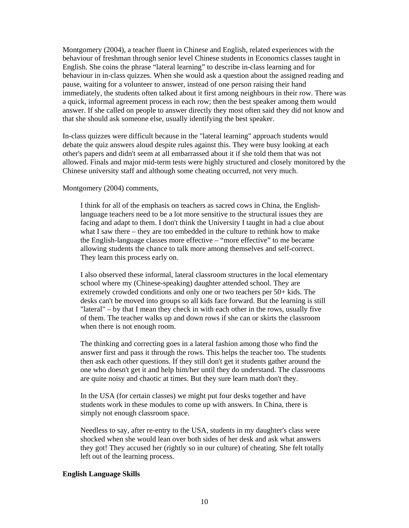Montgomery (2004), a teacher fluent in Chinese and English, related experiences with the behaviour of freshman through senior level Chinese students in Economics classes taught in English. She coins the phrase "lateral learning" to describe in-class learning and for behaviour in in-class quizzes. When she would ask a question about the assigned reading and pause, waiting for a volunteer to answer, instead of one person raising their hand immediately, the students often talked about it first among neighbours in their row. There was a quick, informal agreement process in each row; then the best speaker among them would answer. If she called on people to answer directly they most often said they did not know and that she should ask someone else, usually identifying the best speaker.

In-class quizzes were difficult because in the "lateral learning" approach students would debate the quiz answers aloud despite rules against this. They were busy looking at each other's papers and didn't seem at all embarrassed about it if she told them that was not allowed. Finals and major mid-term tests were highly structured and closely monitored by the Chinese university staff and although some cheating occurred, not very much.

#### Montgomery (2004) comments,

I think for all of the emphasis on teachers as sacred cows in China, the Englishlanguage teachers need to be a lot more sensitive to the structural issues they are facing and adapt to them. I don't think the University I taught in had a clue about what I saw there – they are too embedded in the culture to rethink how to make the English-language classes more effective – "more effective" to me became allowing students the chance to talk more among themselves and self-correct. They learn this process early on.

I also observed these informal, lateral classroom structures in the local elementary school where my (Chinese-speaking) daughter attended school. They are extremely crowded conditions and only one or two teachers per 50+ kids. The desks can't be moved into groups so all kids face forward. But the learning is still "lateral" – by that I mean they check in with each other in the rows, usually five of them. The teacher walks up and down rows if she can or skirts the classroom when there is not enough room.

The thinking and correcting goes in a lateral fashion among those who find the answer first and pass it through the rows. This helps the teacher too. The students then ask each other questions. If they still don't get it students gather around the one who doesn't get it and help him/her until they do understand. The classrooms are quite noisy and chaotic at times. But they sure learn math don't they.

In the USA (for certain classes) we might put four desks together and have students work in these modules to come up with answers. In China, there is simply not enough classroom space.

Needless to say, after re-entry to the USA, students in my daughter's class were shocked when she would lean over both sides of her desk and ask what answers they got! They accused her (rightly so in our culture) of cheating. She felt totally left out of the learning process.

#### **English Language Skills**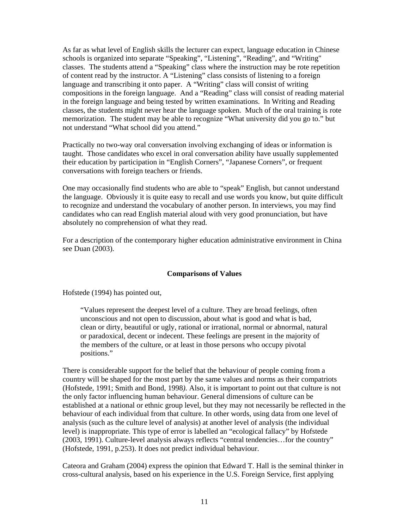As far as what level of English skills the lecturer can expect, language education in Chinese schools is organized into separate "Speaking", "Listening", "Reading", and "Writing" classes. The students attend a "Speaking" class where the instruction may be rote repetition of content read by the instructor. A "Listening" class consists of listening to a foreign language and transcribing it onto paper. A "Writing" class will consist of writing compositions in the foreign language. And a "Reading" class will consist of reading material in the foreign language and being tested by written examinations. In Writing and Reading classes, the students might never hear the language spoken. Much of the oral training is rote memorization. The student may be able to recognize "What university did you go to." but not understand "What school did you attend."

Practically no two-way oral conversation involving exchanging of ideas or information is taught. Those candidates who excel in oral conversation ability have usually supplemented their education by participation in "English Corners", "Japanese Corners", or frequent conversations with foreign teachers or friends.

One may occasionally find students who are able to "speak" English, but cannot understand the language. Obviously it is quite easy to recall and use words you know, but quite difficult to recognize and understand the vocabulary of another person. In interviews, you may find candidates who can read English material aloud with very good pronunciation, but have absolutely no comprehension of what they read.

For a description of the contemporary higher education administrative environment in China see Duan (2003).

#### **Comparisons of Values**

Hofstede (1994) has pointed out,

"Values represent the deepest level of a culture. They are broad feelings, often unconscious and not open to discussion, about what is good and what is bad, clean or dirty, beautiful or ugly, rational or irrational, normal or abnormal, natural or paradoxical, decent or indecent. These feelings are present in the majority of the members of the culture, or at least in those persons who occupy pivotal positions."

There is considerable support for the belief that the behaviour of people coming from a country will be shaped for the most part by the same values and norms as their compatriots (Hofstede, 1991; Smith and Bond, 1998*).* Also, it is important to point out that culture is not the only factor influencing human behaviour. General dimensions of culture can be established at a national or ethnic group level, but they may not necessarily be reflected in the behaviour of each individual from that culture. In other words, using data from one level of analysis (such as the culture level of analysis) at another level of analysis (the individual level) is inappropriate. This type of error is labelled an "ecological fallacy" by Hofstede (2003, 1991). Culture-level analysis always reflects "central tendencies…for the country" (Hofstede, 1991, p.253). It does not predict individual behaviour.

Cateora and Graham (2004) express the opinion that Edward T. Hall is the seminal thinker in cross-cultural analysis, based on his experience in the U.S. Foreign Service, first applying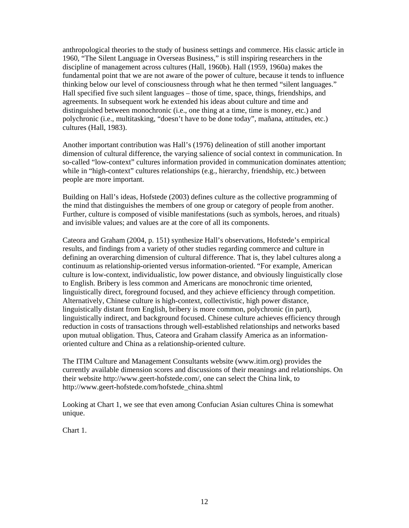anthropological theories to the study of business settings and commerce. His classic article in 1960, "The Silent Language in Overseas Business," is still inspiring researchers in the discipline of management across cultures (Hall, 1960b). Hall (1959, 1960a) makes the fundamental point that we are not aware of the power of culture, because it tends to influence thinking below our level of consciousness through what he then termed "silent languages." Hall specified five such silent languages – those of time, space, things, friendships, and agreements. In subsequent work he extended his ideas about culture and time and distinguished between monochronic (i.e., one thing at a time, time is money, etc.) and polychronic (i.e., multitasking, "doesn't have to be done today", mañana, attitudes, etc.) cultures (Hall, 1983).

Another important contribution was Hall's (1976) delineation of still another important dimension of cultural difference, the varying salience of social context in communication. In so-called "low-context" cultures information provided in communication dominates attention; while in "high-context" cultures relationships (e.g., hierarchy, friendship, etc.) between people are more important.

Building on Hall's ideas, Hofstede (2003) defines culture as the collective programming of the mind that distinguishes the members of one group or category of people from another. Further, culture is composed of visible manifestations (such as symbols, heroes, and rituals) and invisible values; and values are at the core of all its components.

Cateora and Graham (2004, p. 151) synthesize Hall's observations, Hofstede's empirical results, and findings from a variety of other studies regarding commerce and culture in defining an overarching dimension of cultural difference. That is, they label cultures along a continuum as relationship-oriented versus information-oriented. "For example, American culture is low-context, individualistic, low power distance, and obviously linguistically close to English. Bribery is less common and Americans are monochronic time oriented, linguistically direct, foreground focused, and they achieve efficiency through competition. Alternatively, Chinese culture is high-context, collectivistic, high power distance, linguistically distant from English, bribery is more common, polychronic (in part), linguistically indirect, and background focused. Chinese culture achieves efficiency through reduction in costs of transactions through well-established relationships and networks based upon mutual obligation. Thus, Cateora and Graham classify America as an informationoriented culture and China as a relationship-oriented culture.

The ITIM Culture and Management Consultants website (www.itim.org) provides the currently available dimension scores and discussions of their meanings and relationships. On their website http://www.geert-hofstede.com/, one can select the China link, to http://www.geert-hofstede.com/hofstede\_china.shtml

Looking at Chart 1, we see that even among Confucian Asian cultures China is somewhat unique.

Chart 1.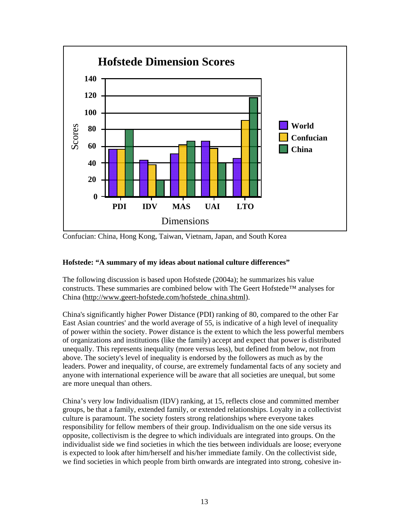

Confucian: China, Hong Kong, Taiwan, Vietnam, Japan, and South Korea

# **Hofstede: "A summary of my ideas about national culture differences"**

The following discussion is based upon Hofstede (2004a); he summarizes his value constructs. These summaries are combined below with The Geert Hofstede™ analyses for China (http://www.geert-hofstede.com/hofstede\_china.shtml).

China's significantly higher Power Distance (PDI) ranking of 80, compared to the other Far East Asian countries' and the world average of 55, is indicative of a high level of inequality of power within the society. Power distance is the extent to which the less powerful members of organizations and institutions (like the family) accept and expect that power is distributed unequally. This represents inequality (more versus less), but defined from below, not from above. The society's level of inequality is endorsed by the followers as much as by the leaders. Power and inequality, of course, are extremely fundamental facts of any society and anyone with international experience will be aware that all societies are unequal, but some are more unequal than others.

China's very low Individualism (IDV) ranking, at 15, reflects close and committed member groups, be that a family, extended family, or extended relationships. Loyalty in a collectivist culture is paramount. The society fosters strong relationships where everyone takes responsibility for fellow members of their group. Individualism on the one side versus its opposite, collectivism is the degree to which individuals are integrated into groups. On the individualist side we find societies in which the ties between individuals are loose; everyone is expected to look after him/herself and his/her immediate family. On the collectivist side, we find societies in which people from birth onwards are integrated into strong, cohesive in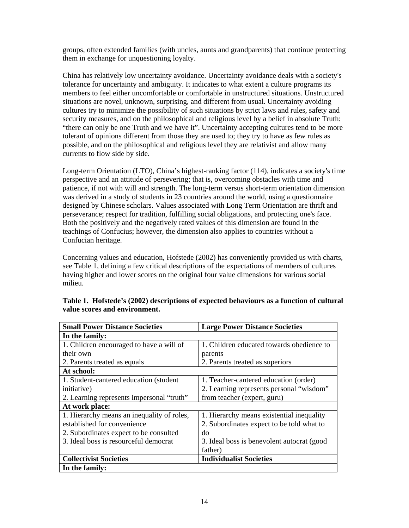groups, often extended families (with uncles, aunts and grandparents) that continue protecting them in exchange for unquestioning loyalty.

China has relatively low uncertainty avoidance. Uncertainty avoidance deals with a society's tolerance for uncertainty and ambiguity. It indicates to what extent a culture programs its members to feel either uncomfortable or comfortable in unstructured situations. Unstructured situations are novel, unknown, surprising, and different from usual. Uncertainty avoiding cultures try to minimize the possibility of such situations by strict laws and rules, safety and security measures, and on the philosophical and religious level by a belief in absolute Truth: "there can only be one Truth and we have it". Uncertainty accepting cultures tend to be more tolerant of opinions different from those they are used to; they try to have as few rules as possible, and on the philosophical and religious level they are relativist and allow many currents to flow side by side.

Long-term Orientation (LTO), China's highest-ranking factor (114), indicates a society's time perspective and an attitude of persevering; that is, overcoming obstacles with time and patience, if not with will and strength. The long-term versus short-term orientation dimension was derived in a study of students in 23 countries around the world, using a questionnaire designed by Chinese scholars. Values associated with Long Term Orientation are thrift and perseverance; respect for tradition, fulfilling social obligations, and protecting one's face. Both the positively and the negatively rated values of this dimension are found in the teachings of Confucius; however, the dimension also applies to countries without a Confucian heritage.

Concerning values and education, Hofstede (2002) has conveniently provided us with charts, see Table 1, defining a few critical descriptions of the expectations of members of cultures having higher and lower scores on the original four value dimensions for various social milieu.

| <b>Small Power Distance Societies</b>      | <b>Large Power Distance Societies</b>       |
|--------------------------------------------|---------------------------------------------|
| In the family:                             |                                             |
| 1. Children encouraged to have a will of   | 1. Children educated towards obedience to   |
| their own                                  | parents                                     |
| 2. Parents treated as equals               | 2. Parents treated as superiors             |
| At school:                                 |                                             |
| 1. Student-cantered education (student)    | 1. Teacher-cantered education (order)       |
| initiative)                                | 2. Learning represents personal "wisdom"    |
| 2. Learning represents impersonal "truth"  | from teacher (expert, guru)                 |
| At work place:                             |                                             |
| 1. Hierarchy means an inequality of roles, | 1. Hierarchy means existential inequality   |
| established for convenience                | 2. Subordinates expect to be told what to   |
| 2. Subordinates expect to be consulted     | do                                          |
| 3. Ideal boss is resourceful democrat      | 3. Ideal boss is benevolent autocrat (good) |
|                                            | father)                                     |
| <b>Collectivist Societies</b>              | <b>Individualist Societies</b>              |
| In the family:                             |                                             |

**Table 1. Hofstede's (2002) descriptions of expected behaviours as a function of cultural value scores and environment.**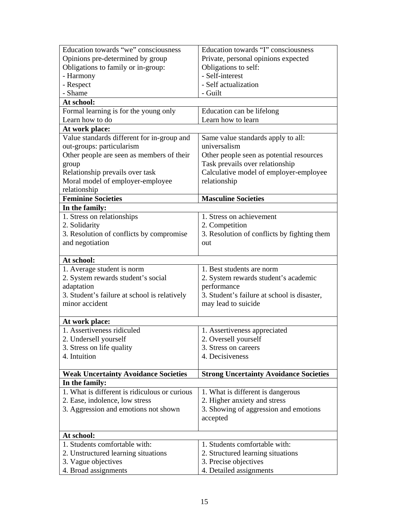| Education towards "we" consciousness          | Education towards "I" consciousness           |
|-----------------------------------------------|-----------------------------------------------|
| Opinions pre-determined by group              | Private, personal opinions expected           |
| Obligations to family or in-group:            | Obligations to self:                          |
| - Harmony                                     | - Self-interest                               |
| - Respect                                     | - Self actualization                          |
| - Shame                                       | - Guilt                                       |
| At school:                                    |                                               |
| Formal learning is for the young only         | Education can be lifelong                     |
| Learn how to do                               | Learn how to learn                            |
| At work place:                                |                                               |
| Value standards different for in-group and    | Same value standards apply to all:            |
| out-groups: particularism                     | universalism                                  |
| Other people are seen as members of their     | Other people seen as potential resources      |
| group                                         | Task prevails over relationship               |
| Relationship prevails over task               | Calculative model of employer-employee        |
| Moral model of employer-employee              | relationship                                  |
| relationship                                  |                                               |
| <b>Feminine Societies</b>                     | <b>Masculine Societies</b>                    |
| In the family:                                |                                               |
| 1. Stress on relationships                    | 1. Stress on achievement                      |
| 2. Solidarity                                 | 2. Competition                                |
| 3. Resolution of conflicts by compromise      | 3. Resolution of conflicts by fighting them   |
| and negotiation                               | out                                           |
|                                               |                                               |
| At school:                                    |                                               |
| 1. Average student is norm                    | 1. Best students are norm                     |
| 2. System rewards student's social            | 2. System rewards student's academic          |
| adaptation                                    | performance                                   |
| 3. Student's failure at school is relatively  | 3. Student's failure at school is disaster,   |
| minor accident                                | may lead to suicide                           |
| At work place:                                |                                               |
| 1. Assertiveness ridiculed                    | 1. Assertiveness appreciated                  |
| 2. Undersell yourself                         | 2. Oversell yourself                          |
| 3. Stress on life quality                     | 3. Stress on careers                          |
| 4. Intuition                                  | 4. Decisiveness                               |
|                                               |                                               |
| <b>Weak Uncertainty Avoidance Societies</b>   | <b>Strong Uncertainty Avoidance Societies</b> |
| In the family:                                |                                               |
| 1. What is different is ridiculous or curious | 1. What is different is dangerous             |
| 2. Ease, indolence, low stress                | 2. Higher anxiety and stress                  |
| 3. Aggression and emotions not shown          | 3. Showing of aggression and emotions         |
|                                               | accepted                                      |
|                                               |                                               |
| At school:                                    |                                               |
| 1. Students comfortable with:                 | 1. Students comfortable with:                 |
| 2. Unstructured learning situations           | 2. Structured learning situations             |
| 3. Vague objectives                           | 3. Precise objectives                         |
| 4. Broad assignments                          | 4. Detailed assignments                       |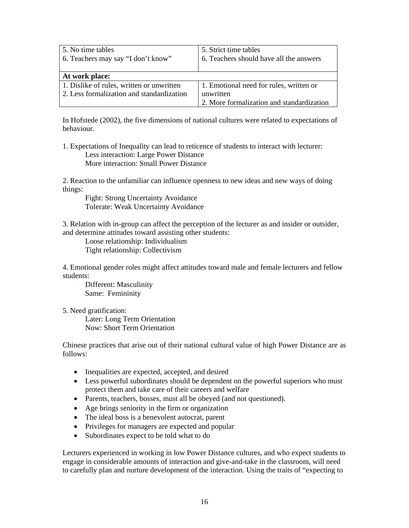| 5. No time tables<br>6. Teachers may say "I don't know" | 5. Strict time tables<br>6. Teachers should have all the answers |
|---------------------------------------------------------|------------------------------------------------------------------|
| At work place:                                          |                                                                  |
| 1. Dislike of rules, written or unwritten               | 1. Emotional need for rules, written or                          |
| 2. Less formalization and standardization               | unwritten                                                        |
|                                                         | 2. More formalization and standardization                        |

In Hofstede (2002), the five dimensions of national cultures were related to expectations of behaviour.

1. Expectations of Inequality can lead to reticence of students to interact with lecturer: Less interaction: Large Power Distance More interaction: Small Power Distance

2. Reaction to the unfamiliar can influence openness to new ideas and new ways of doing things:

Fight: Strong Uncertainty Avoidance Tolerate: Weak Uncertainty Avoidance

3. Relation with in-group can affect the perception of the lecturer as and insider or outsider, and determine attitudes toward assisting other students:

Loose relationship: Individualism Tight relationship: Collectivism

4. Emotional gender roles might affect attitudes toward male and female lecturers and fellow students:

Different: Masculinity Same: Femininity

5. Need gratification:

Later: Long Term Orientation Now: Short Term Orientation

Chinese practices that arise out of their national cultural value of high Power Distance are as follows:

- Inequalities are expected, accepted, and desired
- Less powerful subordinates should be dependent on the powerful superiors who must protect them and take care of their careers and welfare
- Parents, teachers, bosses, must all be obeyed (and not questioned).
- Age brings seniority in the firm or organization
- The ideal boss is a benevolent autocrat, parent
- Privileges for managers are expected and popular
- Subordinates expect to be told what to do

Lecturers experienced in working in low Power Distance cultures, and who expect students to engage in considerable amounts of interaction and give-and-take in the classroom, will need to carefully plan and nurture development of the interaction. Using the traits of "expecting to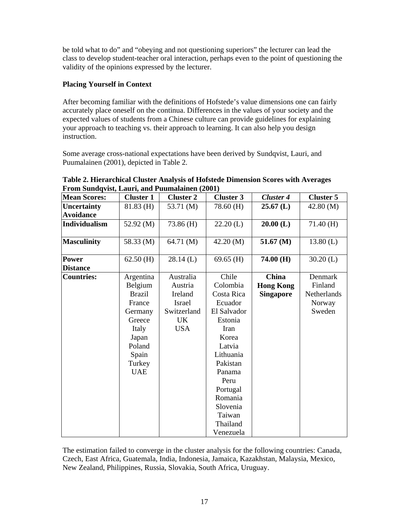be told what to do" and "obeying and not questioning superiors" the lecturer can lead the class to develop student-teacher oral interaction, perhaps even to the point of questioning the validity of the opinions expressed by the lecturer.

# **Placing Yourself in Context**

After becoming familiar with the definitions of Hofstede's value dimensions one can fairly accurately place oneself on the continua. Differences in the values of your society and the expected values of students from a Chinese culture can provide guidelines for explaining your approach to teaching vs. their approach to learning. It can also help you design instruction.

Some average cross-national expectations have been derived by Sundqvist, Lauri, and Puumalainen (2001), depicted in Table 2.

| From Sundqvist, Lauri, and Puumalainen (2001) |                      |                      |                   |                           |                    |  |  |  |  |  |  |
|-----------------------------------------------|----------------------|----------------------|-------------------|---------------------------|--------------------|--|--|--|--|--|--|
| <b>Mean Scores:</b>                           | <b>Cluster 1</b>     | <b>Cluster 2</b>     | <b>Cluster 3</b>  | <b>Cluster 4</b>          | <b>Cluster 5</b>   |  |  |  |  |  |  |
| <b>Uncertainty</b>                            | 81.83 (H)            | 53.71 (M)            | 78.60 (H)         | $25.67$ (L)               | 42.80(M)           |  |  |  |  |  |  |
| <b>Avoidance</b>                              |                      |                      |                   |                           |                    |  |  |  |  |  |  |
| Individualism                                 | 52.92 (M)            | 73.86 (H)            | $22.20$ (L)       | $20.00$ (L)               | 71.40(H)           |  |  |  |  |  |  |
| <b>Masculinity</b>                            | 58.33 (M)            | 64.71 (M)            | 42.20 (M)         | 51.67 (M)                 | 13.80(L)           |  |  |  |  |  |  |
| Power                                         | $62.50$ (H)          | $28.14$ (L)          | $69.65$ (H)       | 74.00(H)                  | $30.20$ (L)        |  |  |  |  |  |  |
| <b>Distance</b>                               |                      |                      |                   |                           |                    |  |  |  |  |  |  |
| <b>Countries:</b>                             | Argentina<br>Belgium | Australia<br>Austria | Chile<br>Colombia | China<br><b>Hong Kong</b> | Denmark<br>Finland |  |  |  |  |  |  |
|                                               | <b>Brazil</b>        | Ireland              | Costa Rica        | <b>Singapore</b>          | <b>Netherlands</b> |  |  |  |  |  |  |
|                                               | France               | Israel               | Ecuador           |                           | Norway             |  |  |  |  |  |  |
|                                               | Germany              | Switzerland          | El Salvador       |                           | Sweden             |  |  |  |  |  |  |
|                                               | Greece               | UK                   | Estonia           |                           |                    |  |  |  |  |  |  |
|                                               | Italy                | <b>USA</b>           | Iran              |                           |                    |  |  |  |  |  |  |
|                                               | Japan                |                      | Korea             |                           |                    |  |  |  |  |  |  |
|                                               | Poland               |                      | Latvia            |                           |                    |  |  |  |  |  |  |
|                                               | Spain                |                      | Lithuania         |                           |                    |  |  |  |  |  |  |
|                                               | Turkey               |                      | Pakistan          |                           |                    |  |  |  |  |  |  |
|                                               | <b>UAE</b>           |                      | Panama            |                           |                    |  |  |  |  |  |  |
|                                               |                      |                      | Peru              |                           |                    |  |  |  |  |  |  |
|                                               |                      |                      | Portugal          |                           |                    |  |  |  |  |  |  |
|                                               |                      |                      | Romania           |                           |                    |  |  |  |  |  |  |
|                                               |                      |                      | Slovenia          |                           |                    |  |  |  |  |  |  |
|                                               |                      |                      | Taiwan            |                           |                    |  |  |  |  |  |  |
|                                               |                      |                      | Thailand          |                           |                    |  |  |  |  |  |  |

**Table 2. Hierarchical Cluster Analysis of Hofstede Dimension Scores with Averages** 

The estimation failed to converge in the cluster analysis for the following countries: Canada, Czech, East Africa, Guatemala, India, Indonesia, Jamaica, Kazakhstan, Malaysia, Mexico, New Zealand, Philippines, Russia, Slovakia, South Africa, Uruguay.

Venezuela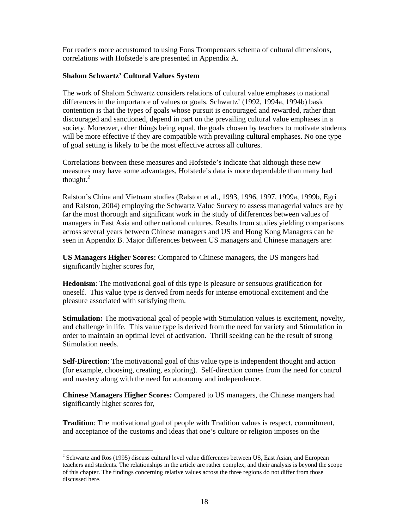For readers more accustomed to using Fons Trompenaars schema of cultural dimensions, correlations with Hofstede's are presented in Appendix A.

#### **Shalom Schwartz' Cultural Values System**

The work of Shalom Schwartz considers relations of cultural value emphases to national differences in the importance of values or goals. Schwartz' (1992, 1994a, 1994b) basic contention is that the types of goals whose pursuit is encouraged and rewarded, rather than discouraged and sanctioned, depend in part on the prevailing cultural value emphases in a society. Moreover, other things being equal, the goals chosen by teachers to motivate students will be more effective if they are compatible with prevailing cultural emphases. No one type of goal setting is likely to be the most effective across all cultures.

Correlations between these measures and Hofstede's indicate that although these new measures may have some advantages, Hofstede's data is more dependable than many had thought.<sup>2</sup>

Ralston's China and Vietnam studies (Ralston et al., 1993, 1996, 1997, 1999a, 1999b, Egri and Ralston, 2004) employing the Schwartz Value Survey to assess managerial values are by far the most thorough and significant work in the study of differences between values of managers in East Asia and other national cultures. Results from studies yielding comparisons across several years between Chinese managers and US and Hong Kong Managers can be seen in Appendix B. Major differences between US managers and Chinese managers are:

**US Managers Higher Scores:** Compared to Chinese managers, the US mangers had significantly higher scores for,

**Hedonism**: The motivational goal of this type is pleasure or sensuous gratification for oneself. This value type is derived from needs for intense emotional excitement and the pleasure associated with satisfying them.

**Stimulation:** The motivational goal of people with Stimulation values is excitement, novelty, and challenge in life. This value type is derived from the need for variety and Stimulation in order to maintain an optimal level of activation. Thrill seeking can be the result of strong Stimulation needs.

**Self-Direction**: The motivational goal of this value type is independent thought and action (for example, choosing, creating, exploring). Self-direction comes from the need for control and mastery along with the need for autonomy and independence.

**Chinese Managers Higher Scores:** Compared to US managers, the Chinese mangers had significantly higher scores for,

**Tradition**: The motivational goal of people with Tradition values is respect, commitment, and acceptance of the customs and ideas that one's culture or religion imposes on the

-

 $2$  Schwartz and Ros (1995) discuss cultural level value differences between US, East Asian, and European teachers and students. The relationships in the article are rather complex, and their analysis is beyond the scope of this chapter. The findings concerning relative values across the three regions do not differ from those discussed here.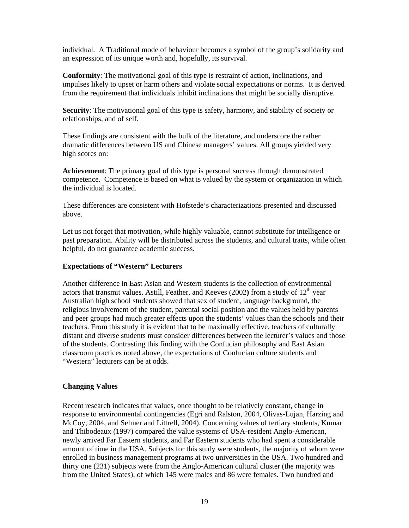individual. A Traditional mode of behaviour becomes a symbol of the group's solidarity and an expression of its unique worth and, hopefully, its survival.

**Conformity**: The motivational goal of this type is restraint of action, inclinations, and impulses likely to upset or harm others and violate social expectations or norms. It is derived from the requirement that individuals inhibit inclinations that might be socially disruptive.

**Security**: The motivational goal of this type is safety, harmony, and stability of society or relationships, and of self.

These findings are consistent with the bulk of the literature, and underscore the rather dramatic differences between US and Chinese managers' values. All groups yielded very high scores on:

**Achievement**: The primary goal of this type is personal success through demonstrated competence. Competence is based on what is valued by the system or organization in which the individual is located.

These differences are consistent with Hofstede's characterizations presented and discussed above.

Let us not forget that motivation, while highly valuable, cannot substitute for intelligence or past preparation. Ability will be distributed across the students, and cultural traits, while often helpful, do not guarantee academic success.

#### **Expectations of "Western" Lecturers**

Another difference in East Asian and Western students is the collection of environmental actors that transmit values. Astill, Feather, and Keeves (2002) from a study of 12<sup>th</sup> year Australian high school students showed that sex of student, language background, the religious involvement of the student, parental social position and the values held by parents and peer groups had much greater effects upon the students' values than the schools and their teachers. From this study it is evident that to be maximally effective, teachers of culturally distant and diverse students must consider differences between the lecturer's values and those of the students. Contrasting this finding with the Confucian philosophy and East Asian classroom practices noted above, the expectations of Confucian culture students and "Western" lecturers can be at odds.

#### **Changing Values**

Recent research indicates that values, once thought to be relatively constant, change in response to environmental contingencies (Egri and Ralston, 2004, Olivas-Lujan, Harzing and McCoy, 2004, and Selmer and Littrell, 2004). Concerning values of tertiary students, Kumar and Thibodeaux (1997) compared the value systems of USA-resident Anglo-American, newly arrived Far Eastern students, and Far Eastern students who had spent a considerable amount of time in the USA. Subjects for this study were students, the majority of whom were enrolled in business management programs at two universities in the USA. Two hundred and thirty one (231) subjects were from the Anglo-American cultural cluster (the majority was from the United States), of which 145 were males and 86 were females. Two hundred and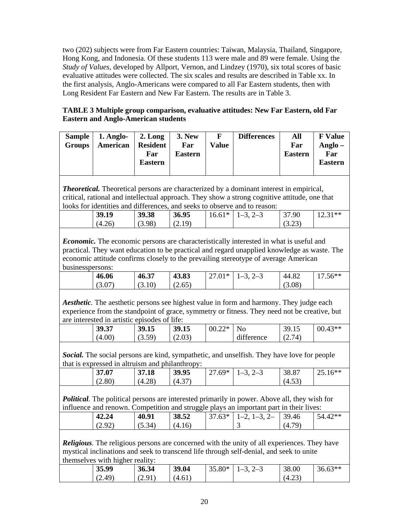two (202) subjects were from Far Eastern countries: Taiwan, Malaysia, Thailand, Singapore, Hong Kong, and Indonesia. Of these students 113 were male and 89 were female. Using the *Study of Values,* developed by Allport, Vernon, and Lindzey (1970), six total scores of basic evaluative attitudes were collected. The six scales and results are described in Table xx. In the first analysis, Anglo-Americans were compared to all Far Eastern students, then with Long Resident Far Eastern and New Far Eastern. The results are in Table 3.

# **TABLE 3 Multiple group comparison, evaluative attitudes: New Far Eastern, old Far Eastern and Anglo-American students**

| <b>Sample</b><br>Groups | 1. Anglo-<br>American | 2. Long<br><b>Resident</b><br>Far<br><b>Eastern</b> | <b>3. New</b><br>Far<br><b>Eastern</b> | F<br>Value | <b>Differences</b> | All<br>Far<br><b>Eastern</b> | <b>F</b> Value<br>Anglo $-$<br>Far<br><b>Eastern</b> |
|-------------------------|-----------------------|-----------------------------------------------------|----------------------------------------|------------|--------------------|------------------------------|------------------------------------------------------|
|-------------------------|-----------------------|-----------------------------------------------------|----------------------------------------|------------|--------------------|------------------------------|------------------------------------------------------|

*Theoretical.* Theoretical persons are characterized by a dominant interest in empirical, critical, rational and intellectual approach. They show a strong cognitive attitude, one that looks for identities and differences, and seeks to observe and to reason:

| 39.19  | 39.38                | 36.95       | $16.61*$ | $1 - 1$<br>$2 - 3$ | 37.90                | 21**<br>12.J 1 |
|--------|----------------------|-------------|----------|--------------------|----------------------|----------------|
| (4.26) | (3.98)<br>$\sqrt{2}$ | 19)<br>2.17 |          |                    | (3.72)<br>ر ے . د را |                |
|        |                      |             |          |                    |                      |                |

*Economic.* The economic persons are characteristically interested in what is useful and practical. They want education to be practical and regard unapplied knowledge as waste. The economic attitude confirms closely to the prevailing stereotype of average American businesspersons:

| 46.06                            | 27<br>46.37                                     | 43.83                              | $\bigcap$ 1 $\psi$<br>$\sim$<br>$\mathbf{1}$<br>∽<br>$\cdot$ vi | .<br>∽ | $\circ$<br>44.8∠ | $.56**$ |
|----------------------------------|-------------------------------------------------|------------------------------------|-----------------------------------------------------------------|--------|------------------|---------|
| $\sqrt{2}$<br>$\Omega$<br>$\sim$ | $10^{\circ}$<br>$\tilde{\phantom{1}}$<br>(J.IU) | 65)<br>$\sqrt{2}$<br>$\sim$ $\sim$ |                                                                 |        | (3.08)           |         |

*Aesthetic.* The aesthetic persons see highest value in form and harmony. They judge each experience from the standpoint of grace, symmetry or fitness. They need not be creative, but are interested in artistic episodes of life:

|        | .                                   |        |          |            |                |           |
|--------|-------------------------------------|--------|----------|------------|----------------|-----------|
| 39.37  | 39.15                               | 39.15  | $00.22*$ | No         | 39.<br><i></i> | $00.43**$ |
| (4.00) | $\sim$<br>50)<br>( J . J <i>)</i> 1 | (2.03) |          | difference | (2.74)         |           |
|        |                                     |        |          |            |                |           |

*Social.* The social persons are kind, sympathetic, and unselfish. They have love for people that is expressed in altruism and philanthropy:

| 37.07  | 37.18  | 39.95 | $60*$<br>$\sim$ 1<br>$\cdot$ | シーン | 38.87          | $16**$<br>2J.1U |
|--------|--------|-------|------------------------------|-----|----------------|-----------------|
| (2.80) | (4.28) | (4,3) |                              |     | $\sim$<br>4.53 |                 |

*Political.* The political persons are interested primarily in power. Above all, they wish for influence and renown. Competition and struggle plays an important part in their lives:

| 42.24                  | 40.91  | 38.52  | $37.63*$ | $\times$ 1-3 $^{\circ}$<br>$1 - 2$<br>$\prime -$ | 39.46 | `つ**<br>74. |
|------------------------|--------|--------|----------|--------------------------------------------------|-------|-------------|
| റാ<br>$\overline{a}$ . | (5.34) | .4.16) |          |                                                  | (4.7) |             |
|                        |        |        |          |                                                  |       |             |

*Religious.* The religious persons are concerned with the unity of all experiences. They have mystical inclinations and seek to transcend life through self-denial, and seek to unite themselves with higher reality:

| 35.99               | 36.34                             | 39.04  | $5.80*$ | . — | 38.00           | $56.63**$ |
|---------------------|-----------------------------------|--------|---------|-----|-----------------|-----------|
| $49^\circ$<br>・ム・サフ | Q <sub>1</sub><br>$\sim$<br>しん・フェ | (4.61) |         |     | $\cap$<br>(4.2) |           |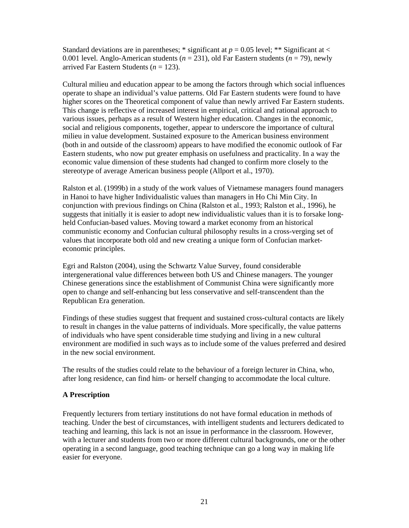Standard deviations are in parentheses; \* significant at  $p = 0.05$  level; \*\* Significant at  $\lt$ 0.001 level. Anglo-American students ( $n = 231$ ), old Far Eastern students ( $n = 79$ ), newly arrived Far Eastern Students (*n* = 123).

Cultural milieu and education appear to be among the factors through which social influences operate to shape an individual's value patterns. Old Far Eastern students were found to have higher scores on the Theoretical component of value than newly arrived Far Eastern students. This change is reflective of increased interest in empirical, critical and rational approach to various issues, perhaps as a result of Western higher education. Changes in the economic, social and religious components, together, appear to underscore the importance of cultural milieu in value development. Sustained exposure to the American business environment (both in and outside of the classroom) appears to have modified the economic outlook of Far Eastern students, who now put greater emphasis on usefulness and practicality. In a way the economic value dimension of these students had changed to confirm more closely to the stereotype of average American business people (Allport et al., 1970).

Ralston et al. (1999b) in a study of the work values of Vietnamese managers found managers in Hanoi to have higher Individualistic values than managers in Ho Chi Min City. In conjunction with previous findings on China (Ralston et al., 1993; Ralston et al., 1996), he suggests that initially it is easier to adopt new individualistic values than it is to forsake longheld Confucian-based values. Moving toward a market economy from an historical communistic economy and Confucian cultural philosophy results in a cross-verging set of values that incorporate both old and new creating a unique form of Confucian marketeconomic principles.

Egri and Ralston (2004), using the Schwartz Value Survey, found considerable intergenerational value differences between both US and Chinese managers. The younger Chinese generations since the establishment of Communist China were significantly more open to change and self-enhancing but less conservative and self-transcendent than the Republican Era generation.

Findings of these studies suggest that frequent and sustained cross-cultural contacts are likely to result in changes in the value patterns of individuals. More specifically, the value patterns of individuals who have spent considerable time studying and living in a new cultural environment are modified in such ways as to include some of the values preferred and desired in the new social environment.

The results of the studies could relate to the behaviour of a foreign lecturer in China, who, after long residence, can find him- or herself changing to accommodate the local culture.

#### **A Prescription**

Frequently lecturers from tertiary institutions do not have formal education in methods of teaching. Under the best of circumstances, with intelligent students and lecturers dedicated to teaching and learning, this lack is not an issue in performance in the classroom. However, with a lecturer and students from two or more different cultural backgrounds, one or the other operating in a second language, good teaching technique can go a long way in making life easier for everyone.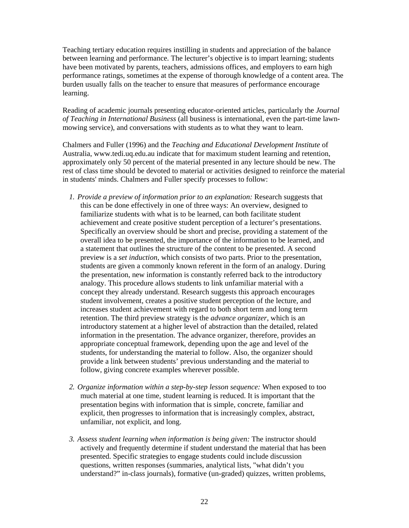Teaching tertiary education requires instilling in students and appreciation of the balance between learning and performance. The lecturer's objective is to impart learning; students have been motivated by parents, teachers, admissions offices, and employers to earn high performance ratings, sometimes at the expense of thorough knowledge of a content area. The burden usually falls on the teacher to ensure that measures of performance encourage learning.

Reading of academic journals presenting educator-oriented articles, particularly the *Journal of Teaching in International Business* (all business is international, even the part-time lawnmowing service), and conversations with students as to what they want to learn.

Chalmers and Fuller (1996) and the *Teaching and Educational Development Institute* of Australia, www.tedi.uq.edu.au indicate that for maximum student learning and retention, approximately only 50 percent of the material presented in any lecture should be new. The rest of class time should be devoted to material or activities designed to reinforce the material in students' minds. Chalmers and Fuller specify processes to follow:

- *1. Provide a preview of information prior to an explanation:* Research suggests that this can be done effectively in one of three ways: An overview, designed to familiarize students with what is to be learned, can both facilitate student achievement and create positive student perception of a lecturer's presentations. Specifically an overview should be short and precise, providing a statement of the overall idea to be presented, the importance of the information to be learned, and a statement that outlines the structure of the content to be presented. A second preview is a *set induction*, which consists of two parts. Prior to the presentation, students are given a commonly known referent in the form of an analogy. During the presentation, new information is constantly referred back to the introductory analogy. This procedure allows students to link unfamiliar material with a concept they already understand. Research suggests this approach encourages student involvement, creates a positive student perception of the lecture, and increases student achievement with regard to both short term and long term retention. The third preview strategy is the *advance organizer*, which is an introductory statement at a higher level of abstraction than the detailed, related information in the presentation. The advance organizer, therefore, provides an appropriate conceptual framework, depending upon the age and level of the students, for understanding the material to follow. Also, the organizer should provide a link between students' previous understanding and the material to follow, giving concrete examples wherever possible.
- *2. Organize information within a step-by-step lesson sequence:* When exposed to too much material at one time, student learning is reduced. It is important that the presentation begins with information that is simple, concrete, familiar and explicit, then progresses to information that is increasingly complex, abstract, unfamiliar, not explicit, and long.
- *3. Assess student learning when information is being given:* The instructor should actively and frequently determine if student understand the material that has been presented. Specific strategies to engage students could include discussion questions, written responses (summaries, analytical lists, "what didn't you understand?" in-class journals), formative (un-graded) quizzes, written problems,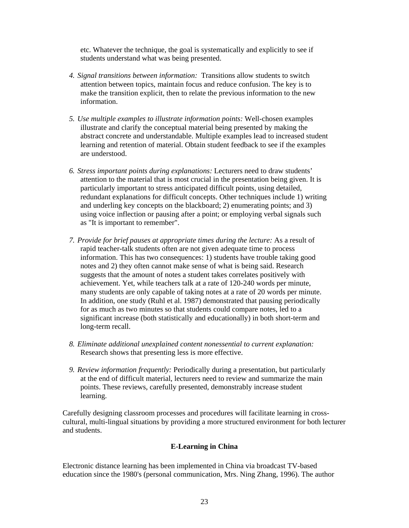etc. Whatever the technique, the goal is systematically and explicitly to see if students understand what was being presented.

- *4. Signal transitions between information:* Transitions allow students to switch attention between topics, maintain focus and reduce confusion. The key is to make the transition explicit, then to relate the previous information to the new information.
- *5. Use multiple examples to illustrate information points:* Well-chosen examples illustrate and clarify the conceptual material being presented by making the abstract concrete and understandable. Multiple examples lead to increased student learning and retention of material. Obtain student feedback to see if the examples are understood.
- *6. Stress important points during explanations:* Lecturers need to draw students' attention to the material that is most crucial in the presentation being given. It is particularly important to stress anticipated difficult points, using detailed, redundant explanations for difficult concepts. Other techniques include 1) writing and underling key concepts on the blackboard; 2) enumerating points; and 3) using voice inflection or pausing after a point; or employing verbal signals such as "It is important to remember".
- *7. Provide for brief pauses at appropriate times during the lecture:* As a result of rapid teacher-talk students often are not given adequate time to process information. This has two consequences: 1) students have trouble taking good notes and 2) they often cannot make sense of what is being said. Research suggests that the amount of notes a student takes correlates positively with achievement. Yet, while teachers talk at a rate of 120-240 words per minute, many students are only capable of taking notes at a rate of 20 words per minute. In addition, one study (Ruhl et al. 1987) demonstrated that pausing periodically for as much as two minutes so that students could compare notes, led to a significant increase (both statistically and educationally) in both short-term and long-term recall.
- *8. Eliminate additional unexplained content nonessential to current explanation:*  Research shows that presenting less is more effective.
- *9. Review information frequently:* Periodically during a presentation, but particularly at the end of difficult material, lecturers need to review and summarize the main points. These reviews, carefully presented, demonstrably increase student learning.

Carefully designing classroom processes and procedures will facilitate learning in crosscultural, multi-lingual situations by providing a more structured environment for both lecturer and students.

#### **E-Learning in China**

Electronic distance learning has been implemented in China via broadcast TV-based education since the 1980's (personal communication, Mrs. Ning Zhang, 1996). The author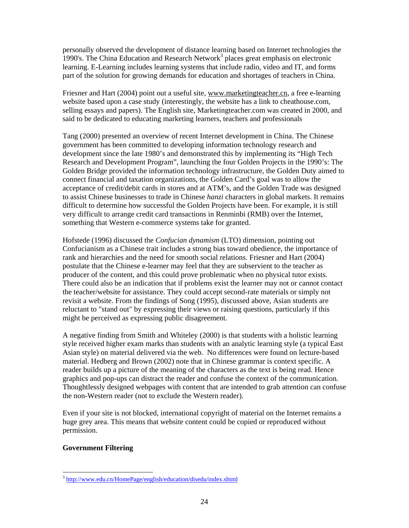personally observed the development of distance learning based on Internet technologies the 1990's. The China Education and Research Network<sup>3</sup> places great emphasis on electronic learning. E-Learning includes learning systems that include radio, video and IT, and forms part of the solution for growing demands for education and shortages of teachers in China.

Friesner and Hart (2004) point out a useful site, www.marketingteacher.cn, a free e-learning website based upon a case study (interestingly, the website has a link to cheathouse.com, selling essays and papers). The English site, Marketingteacher.com was created in 2000, and said to be dedicated to educating marketing learners, teachers and professionals

Tang (2000) presented an overview of recent Internet development in China. The Chinese government has been committed to developing information technology research and development since the late 1980's and demonstrated this by implementing its "High Tech Research and Development Program", launching the four Golden Projects in the 1990's: The Golden Bridge provided the information technology infrastructure, the Golden Duty aimed to connect financial and taxation organizations, the Golden Card's goal was to allow the acceptance of credit/debit cards in stores and at ATM's, and the Golden Trade was designed to assist Chinese businesses to trade in Chinese *hanzi* characters in global markets. It remains difficult to determine how successful the Golden Projects have been. For example, it is still very difficult to arrange credit card transactions in Renminbi (RMB) over the Internet, something that Western e-commerce systems take for granted.

Hofstede (1996) discussed the *Confucian dynamism* (LTO) dimension, pointing out Confucianism as a Chinese trait includes a strong bias toward obedience, the importance of rank and hierarchies and the need for smooth social relations. Friesner and Hart (2004) postulate that the Chinese e-learner may feel that they are subservient to the teacher as producer of the content, and this could prove problematic when no physical tutor exists. There could also be an indication that if problems exist the learner may not or cannot contact the teacher/website for assistance. They could accept second-rate materials or simply not revisit a website. From the findings of Song (1995), discussed above, Asian students are reluctant to "stand out" by expressing their views or raising questions, particularly if this might be perceived as expressing public disagreement.

A negative finding from Smith and Whiteley (2000) is that students with a holistic learning style received higher exam marks than students with an analytic learning style (a typical East Asian style) on material delivered via the web. No differences were found on lecture-based material. Hedberg and Brown (2002) note that in Chinese grammar is context specific. A reader builds up a picture of the meaning of the characters as the text is being read. Hence graphics and pop-ups can distract the reader and confuse the context of the communication. Thoughtlessly designed webpages with content that are intended to grab attention can confuse the non-Western reader (not to exclude the Western reader).

Even if your site is not blocked, international copyright of material on the Internet remains a huge grey area. This means that website content could be copied or reproduced without permission.

#### **Government Filtering**

-

<sup>&</sup>lt;sup>3</sup> http://www.edu.cn/HomePage/english/education/disedu/index.shtml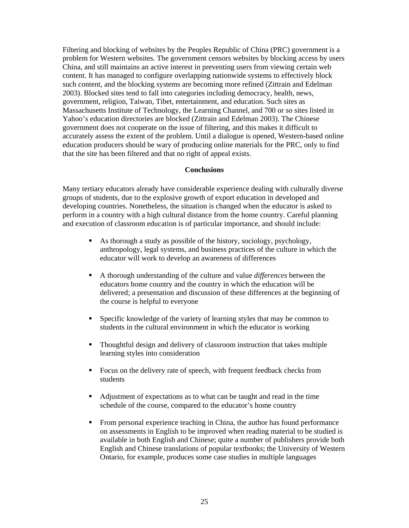Filtering and blocking of websites by the Peoples Republic of China (PRC) government is a problem for Western websites. The government censors websites by blocking access by users China, and still maintains an active interest in preventing users from viewing certain web content. It has managed to configure overlapping nationwide systems to effectively block such content, and the blocking systems are becoming more refined (Zittrain and Edelman 2003). Blocked sites tend to fall into categories including democracy, health, news, government, religion, Taiwan, Tibet, entertainment, and education. Such sites as Massachusetts Institute of Technology, the Learning Channel, and 700 or so sites listed in Yahoo's education directories are blocked (Zittrain and Edelman 2003). The Chinese government does not cooperate on the issue of filtering, and this makes it difficult to accurately assess the extent of the problem. Until a dialogue is opened, Western-based online education producers should be wary of producing online materials for the PRC, only to find that the site has been filtered and that no right of appeal exists.

#### **Conclusions**

Many tertiary educators already have considerable experience dealing with culturally diverse groups of students, due to the explosive growth of export education in developed and developing countries. Nonetheless, the situation is changed when the educator is asked to perform in a country with a high cultural distance from the home country. Careful planning and execution of classroom education is of particular importance, and should include:

- As thorough a study as possible of the history, sociology, psychology, anthropology, legal systems, and business practices of the culture in which the educator will work to develop an awareness of differences
- A thorough understanding of the culture and value *differences* between the educators home country and the country in which the education will be delivered; a presentation and discussion of these differences at the beginning of the course is helpful to everyone
- Specific knowledge of the variety of learning styles that may be common to students in the cultural environment in which the educator is working
- Thoughtful design and delivery of classroom instruction that takes multiple learning styles into consideration
- Focus on the delivery rate of speech, with frequent feedback checks from students
- Adjustment of expectations as to what can be taught and read in the time schedule of the course, compared to the educator's home country
- From personal experience teaching in China, the author has found performance on assessments in English to be improved when reading material to be studied is available in both English and Chinese; quite a number of publishers provide both English and Chinese translations of popular textbooks; the University of Western Ontario, for example, produces some case studies in multiple languages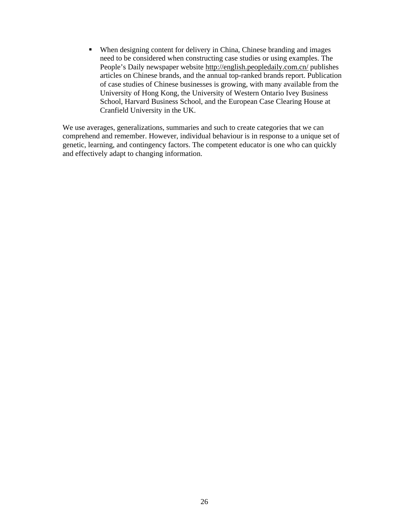When designing content for delivery in China, Chinese branding and images need to be considered when constructing case studies or using examples. The People's Daily newspaper website http://english.peopledaily.com.cn/ publishes articles on Chinese brands, and the annual top-ranked brands report. Publication of case studies of Chinese businesses is growing, with many available from the University of Hong Kong, the University of Western Ontario Ivey Business School, Harvard Business School, and the European Case Clearing House at Cranfield University in the UK.

We use averages, generalizations, summaries and such to create categories that we can comprehend and remember. However, individual behaviour is in response to a unique set of genetic, learning, and contingency factors. The competent educator is one who can quickly and effectively adapt to changing information.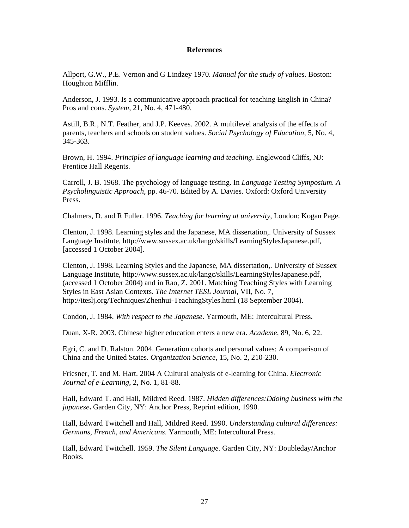#### **References**

Allport, G.W., P.E. Vernon and G Lindzey 1970. *Manual for the study of values*. Boston: Houghton Mifflin.

Anderson, J. 1993. Is a communicative approach practical for teaching English in China? Pros and cons. *System*, 21, No. 4, 471-480.

Astill, B.R., N.T. Feather, and J.P. Keeves. 2002. A multilevel analysis of the effects of parents, teachers and schools on student values. *Social Psychology of Education,* 5, No. 4, 345-363.

Brown, H. 1994. *Principles of language learning and teaching*. Englewood Cliffs, NJ: Prentice Hall Regents.

Carroll, J. B. 1968. The psychology of language testing. In *Language Testing Symposium. A Psycholinguistic Approach,* pp. 46-70. Edited by A. Davies. Oxford: Oxford University Press.

Chalmers, D. and R Fuller. 1996. *Teaching for learning at university*, London: Kogan Page.

Clenton, J. 1998. Learning styles and the Japanese, MA dissertation,. University of Sussex Language Institute, http://www.sussex.ac.uk/langc/skills/LearningStylesJapanese.pdf, [accessed 1 October 2004].

Clenton, J. 1998. Learning Styles and the Japanese, MA dissertation,. University of Sussex Language Institute, http://www.sussex.ac.uk/langc/skills/LearningStylesJapanese.pdf, (accessed 1 October 2004) and in Rao, Z. 2001. Matching Teaching Styles with Learning Styles in East Asian Contexts. *The Internet TESL Journal*, VII, No. 7, http://iteslj.org/Techniques/Zhenhui-TeachingStyles.html (18 September 2004).

Condon, J. 1984. *With respect to the Japanese*. Yarmouth, ME: Intercultural Press.

Duan, X-R. 2003. Chinese higher education enters a new era. *Academe*, 89, No. 6, 22.

Egri, C. and D. Ralston. 2004. Generation cohorts and personal values: A comparison of China and the United States. *Organization Science*, 15, No. 2, 210-230.

Friesner, T. and M. Hart. 2004 A Cultural analysis of e-learning for China. *Electronic Journal of e-Learning*, 2, No. 1, 81-88.

Hall, Edward T. and Hall, Mildred Reed. 1987. *Hidden differences:Ddoing business with the japanese***.** Garden City, NY: Anchor Press, Reprint edition, 1990.

Hall, Edward Twitchell and Hall, Mildred Reed. 1990. *Understanding cultural differences: Germans, French, and Americans*. Yarmouth, ME: Intercultural Press.

Hall, Edward Twitchell. 1959. *The Silent Language.* Garden City, NY: Doubleday/Anchor Books.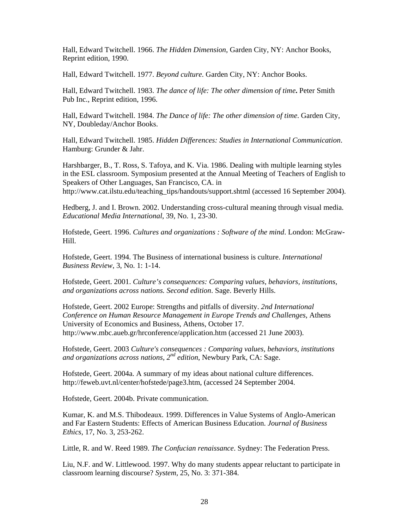Hall, Edward Twitchell. 1966. *The Hidden Dimension*, Garden City, NY: Anchor Books, Reprint edition, 1990.

Hall, Edward Twitchell. 1977. *Beyond culture*. Garden City, NY: Anchor Books.

Hall, Edward Twitchell. 1983. *The dance of life: The other dimension of time***.** Peter Smith Pub Inc., Reprint edition, 1996.

Hall, Edward Twitchell. 1984. *The Dance of life: The other dimension of time*. Garden City, NY, Doubleday/Anchor Books.

Hall, Edward Twitchell. 1985. *Hidden Differences: Studies in International Communication*. Hamburg: Grunder & Jahr.

Harshbarger, B., T. Ross, S. Tafoya, and K. Via. 1986. Dealing with multiple learning styles in the ESL classroom. Symposium presented at the Annual Meeting of Teachers of English to Speakers of Other Languages, San Francisco, CA. in http://www.cat.ilstu.edu/teaching\_tips/handouts/support.shtml (accessed 16 September 2004).

Hedberg, J. and I. Brown. 2002. Understanding cross-cultural meaning through visual media. *Educational Media International*, 39, No. 1, 23-30.

Hofstede, Geert. 1996. *Cultures and organizations : Software of the mind*. London: McGraw-Hill.

Hofstede, Geert. 1994. The Business of international business is culture. *International Business Review*, 3, No. 1: 1-14.

Hofstede, Geert. 2001. *Culture's consequences: Comparing values, behaviors, institutions, and organizations across nations. Second edition*. Sage. Beverly Hills.

Hofstede, Geert. 2002 Europe: Strengths and pitfalls of diversity. *2nd International Conference on Human Resource Management in Europe Trends and Challenges*, Athens University of Economics and Business, Athens, October 17. http://www.mbc.aueb.gr/hrconference/application.htm (accessed 21 June 2003).

Hofstede, Geert. 2003 *Culture's consequences : Comparing values, behaviors, institutions and organizations across nations, 2nd edition*, Newbury Park, CA: Sage.

Hofstede, Geert. 2004a. A summary of my ideas about national culture differences. http://feweb.uvt.nl/center/hofstede/page3.htm, (accessed 24 September 2004.

Hofstede, Geert. 2004b. Private communication.

Kumar, K. and M.S. Thibodeaux. 1999. Differences in Value Systems of Anglo-American and Far Eastern Students: Effects of American Business Education. *Journal of Business Ethics*, 17, No. 3, 253-262.

Little, R. and W. Reed 1989. *The Confucian renaissance*. Sydney: The Federation Press.

Liu, N.F. and W. Littlewood. 1997. Why do many students appear reluctant to participate in classroom learning discourse? *System,* 25, No. 3: 371-384.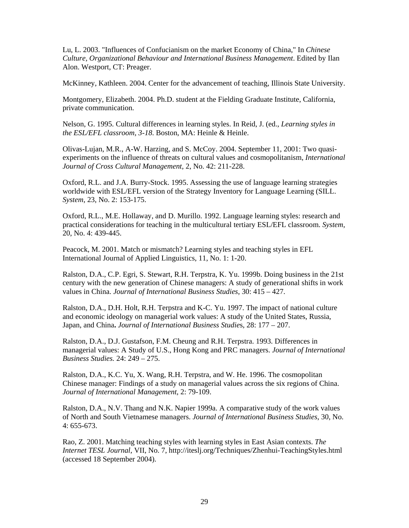Lu, L. 2003. "Influences of Confucianism on the market Economy of China," In *Chinese Culture, Organizational Behaviour and International Business Management*. Edited by Ilan Alon. Westport, CT: Preager.

McKinney, Kathleen. 2004. Center for the advancement of teaching, Illinois State University.

Montgomery, Elizabeth. 2004. Ph.D. student at the Fielding Graduate Institute, California, private communication.

Nelson, G. 1995. Cultural differences in learning styles. In Reid, J. (ed., *Learning styles in the ESL/EFL classroom*, *3-18*. Boston, MA: Heinle & Heinle.

Olivas-Lujan, M.R., A-W. Harzing, and S. McCoy. 2004. September 11, 2001: Two quasiexperiments on the influence of threats on cultural values and cosmopolitanism, *International Journal of Cross Cultural Management,* 2, No. 42: 211-228.

Oxford, R.L. and J.A. Burry-Stock. 1995. Assessing the use of language learning strategies worldwide with ESL/EFL version of the Strategy Inventory for Language Learning (SILL. *System*, 23, No. 2: 153-175.

Oxford, R.L., M.E. Hollaway, and D. Murillo. 1992. Language learning styles: research and practical considerations for teaching in the multicultural tertiary ESL/EFL classroom. *System*, 20, No. 4: 439-445.

Peacock, M. 2001. Match or mismatch? Learning styles and teaching styles in EFL International Journal of Applied Linguistics, 11, No. 1: 1-20.

Ralston, D.A., C.P. Egri, S. Stewart, R.H. Terpstra, K. Yu. 1999b. Doing business in the 21st century with the new generation of Chinese managers: A study of generational shifts in work values in China. *Journal of International Business Studies*, 30: 415 – 427.

Ralston, D.A., D.H. Holt, R.H. Terpstra and K-C. Yu. 1997. The impact of national culture and economic ideology on managerial work values: A study of the United States, Russia, Japan, and China**.** *Journal of International Business Studie*s, 28: 177 – 207.

Ralston, D.A., D.J. Gustafson, F.M. Cheung and R.H. Terpstra. 1993. Differences in managerial values: A Study of U.S., Hong Kong and PRC managers. *Journal of International Business Studies.* 24: 249 – 275.

Ralston, D.A., K.C. Yu, X. Wang, R.H. Terpstra, and W. He. 1996. The cosmopolitan Chinese manager: Findings of a study on managerial values across the six regions of China. *Journal of International Management*, 2: 79-109.

Ralston, D.A., N.V. Thang and N.K. Napier 1999a. A comparative study of the work values of North and South Vietnamese managers. *Journal of International Business Studies*, 30, No. 4: 655-673.

Rao, Z. 2001. Matching teaching styles with learning styles in East Asian contexts. *The Internet TESL Journal*, VII, No. 7, http://iteslj.org/Techniques/Zhenhui-TeachingStyles.html (accessed 18 September 2004).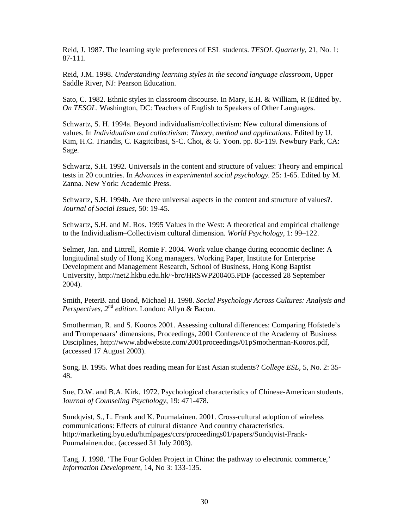Reid, J. 1987. The learning style preferences of ESL students. *TESOL Quarterly*, 21, No. 1: 87-111.

Reid, J.M. 1998. *Understanding learning styles in the second language classroom*, Upper Saddle River, NJ: Pearson Education.

Sato, C. 1982. Ethnic styles in classroom discourse. In Mary, E.H. & William, R (Edited by. *On TESOL*. Washington, DC: Teachers of English to Speakers of Other Languages.

Schwartz, S. H. 1994a. Beyond individualism/collectivism: New cultural dimensions of values. In *Individualism and collectivism: Theory, method and applications.* Edited by U. Kim, H.C. Triandis, C. Kagitcibasi, S-C. Choi, & G. Yoon. pp. 85-119. Newbury Park, CA: Sage.

Schwartz, S.H. 1992. Universals in the content and structure of values: Theory and empirical tests in 20 countries. In *Advances in experimental social psychology.* 25: 1-65. Edited by M. Zanna. New York: Academic Press.

Schwartz, S.H. 1994b. Are there universal aspects in the content and structure of values?. *Journal of Social Issues*, 50: 19-45.

Schwartz, S.H. and M. Ros. 1995 Values in the West: A theoretical and empirical challenge to the Individualism–Collectivism cultural dimension. *World Psychology*, 1: 99–122.

Selmer, Jan. and Littrell, Romie F. 2004. Work value change during economic decline: A longitudinal study of Hong Kong managers. Working Paper, Institute for Enterprise Development and Management Research, School of Business, Hong Kong Baptist University, http://net2.hkbu.edu.hk/~brc/HRSWP200405.PDF (accessed 28 September 2004).

Smith, PeterB. and Bond, Michael H. 1998. *Social Psychology Across Cultures: Analysis and Perspectives, 2nd edition*. London: Allyn & Bacon.

Smotherman, R. and S. Kooros 2001. Assessing cultural differences: Comparing Hofstede's and Trompenaars' dimensions, Proceedings, 2001 Conference of the Academy of Business Disciplines, http://www.abdwebsite.com/2001proceedings/01pSmotherman-Kooros.pdf, (accessed 17 August 2003).

Song, B. 1995. What does reading mean for East Asian students? *College ESL*, 5, No. 2: 35- 48.

Sue, D.W. and B.A. Kirk. 1972. Psychological characteristics of Chinese-American students. J*ournal of Counseling Psychology*, 19: 471-478.

Sundqvist, S., L. Frank and K. Puumalainen. 2001. Cross-cultural adoption of wireless communications: Effects of cultural distance And country characteristics. http://marketing.byu.edu/htmlpages/ccrs/proceedings01/papers/Sundqvist-Frank-Puumalainen.doc. (accessed 31 July 2003).

Tang, J. 1998. 'The Four Golden Project in China: the pathway to electronic commerce,' *Information Development*, 14, No 3: 133-135.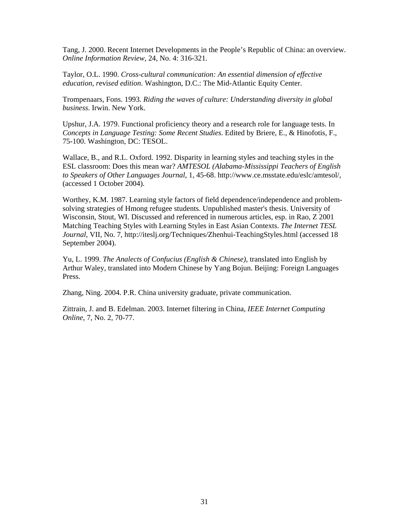Tang, J. 2000. Recent Internet Developments in the People's Republic of China: an overview. *Online Information Review*, 24, No. 4: 316-321.

Taylor, O.L. 1990. *Cross-cultural communication: An essential dimension of effective education, r*evi*sed edition*. Washington, D.C.: The Mid-Atlantic Equity Center.

Trompenaars, Fons. 1993. *Riding the waves of culture: Understanding diversity in global business*. Irwin. New York.

Upshur, J.A. 1979. Functional proficiency theory and a research role for language tests. In *Concepts in Language Testing: Some Recent Studies*. Edited by Briere, E., & Hinofotis, F., 75-100. Washington, DC: TESOL.

Wallace, B., and R.L. Oxford. 1992. Disparity in learning styles and teaching styles in the ESL classroom: Does this mean war? *AMTESOL (Alabama-Mississippi Teachers of English to Speakers of Other Languages Journal*, 1, 45-68. http://www.ce.msstate.edu/eslc/amtesol/, (accessed 1 October 2004).

Worthey, K.M. 1987. Learning style factors of field dependence/independence and problemsolving strategies of Hmong refugee students. Unpublished master's thesis. University of Wisconsin, Stout, WI. Discussed and referenced in numerous articles, esp. in Rao, Z 2001 Matching Teaching Styles with Learning Styles in East Asian Contexts. *The Internet TESL Journal*, VII, No. 7, http://iteslj.org/Techniques/Zhenhui-TeachingStyles.html (accessed 18 September 2004).

Yu, L. 1999. *The Analects of Confucius (English & Chinese)*, translated into English by Arthur Waley, translated into Modern Chinese by Yang Bojun. Beijing: Foreign Languages Press.

Zhang, Ning. 2004. P.R. China university graduate, private communication.

Zittrain, J. and B. Edelman. 2003. Internet filtering in China, *IEEE Internet Computing Online*, 7, No. 2, 70-77.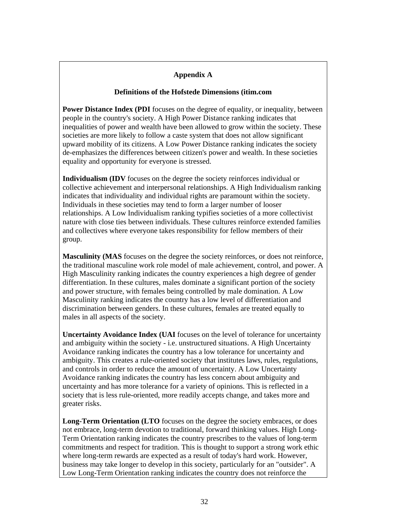# **Appendix A**

#### **Definitions of the Hofstede Dimensions (itim.com**

**Power Distance Index (PDI** focuses on the degree of equality, or inequality, between people in the country's society. A High Power Distance ranking indicates that inequalities of power and wealth have been allowed to grow within the society. These societies are more likely to follow a caste system that does not allow significant upward mobility of its citizens. A Low Power Distance ranking indicates the society de-emphasizes the differences between citizen's power and wealth. In these societies equality and opportunity for everyone is stressed.

**Individualism (IDV** focuses on the degree the society reinforces individual or collective achievement and interpersonal relationships. A High Individualism ranking indicates that individuality and individual rights are paramount within the society. Individuals in these societies may tend to form a larger number of looser relationships. A Low Individualism ranking typifies societies of a more collectivist nature with close ties between individuals. These cultures reinforce extended families and collectives where everyone takes responsibility for fellow members of their group.

**Masculinity (MAS** focuses on the degree the society reinforces, or does not reinforce, the traditional masculine work role model of male achievement, control, and power. A High Masculinity ranking indicates the country experiences a high degree of gender differentiation. In these cultures, males dominate a significant portion of the society and power structure, with females being controlled by male domination. A Low Masculinity ranking indicates the country has a low level of differentiation and discrimination between genders. In these cultures, females are treated equally to males in all aspects of the society.

**Uncertainty Avoidance Index (UAI** focuses on the level of tolerance for uncertainty and ambiguity within the society - i.e. unstructured situations. A High Uncertainty Avoidance ranking indicates the country has a low tolerance for uncertainty and ambiguity. This creates a rule-oriented society that institutes laws, rules, regulations, and controls in order to reduce the amount of uncertainty. A Low Uncertainty Avoidance ranking indicates the country has less concern about ambiguity and uncertainty and has more tolerance for a variety of opinions. This is reflected in a society that is less rule-oriented, more readily accepts change, and takes more and greater risks.

**Long-Term Orientation (LTO** focuses on the degree the society embraces, or does not embrace, long-term devotion to traditional, forward thinking values. High Long-Term Orientation ranking indicates the country prescribes to the values of long-term commitments and respect for tradition. This is thought to support a strong work ethic where long-term rewards are expected as a result of today's hard work. However, business may take longer to develop in this society, particularly for an "outsider". A Low Long-Term Orientation ranking indicates the country does not reinforce the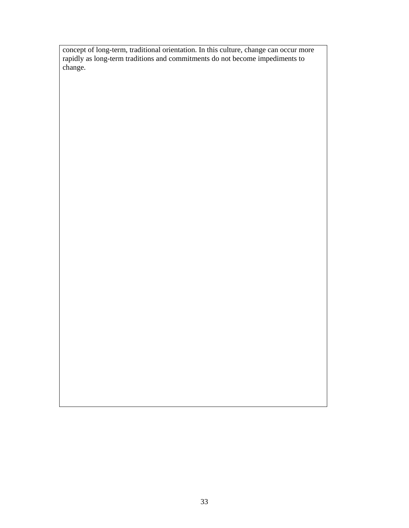concept of long-term, traditional orientation. In this culture, change can occur more rapidly as long-term traditions and commitments do not become impediments to change.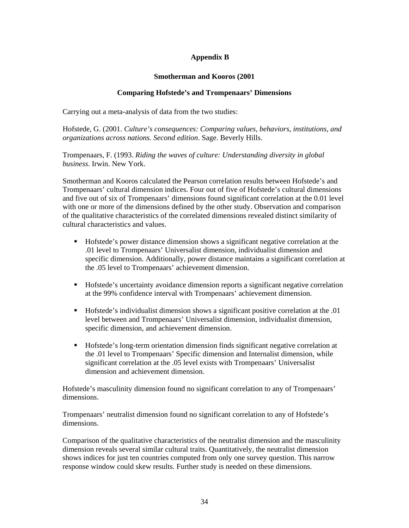# **Appendix B**

## **Smotherman and Kooros (2001**

# **Comparing Hofstede's and Trompenaars' Dimensions**

Carrying out a meta-analysis of data from the two studies:

Hofstede, G. (2001. *Culture's consequences: Comparing values, behaviors, institutions, and organizations across nations. Second edition*. Sage. Beverly Hills.

Trompenaars, F. (1993. *Riding the waves of culture: Understanding diversity in global business*. Irwin. New York.

Smotherman and Kooros calculated the Pearson correlation results between Hofstede's and Trompenaars' cultural dimension indices. Four out of five of Hofstede's cultural dimensions and five out of six of Trompenaars' dimensions found significant correlation at the 0.01 level with one or more of the dimensions defined by the other study. Observation and comparison of the qualitative characteristics of the correlated dimensions revealed distinct similarity of cultural characteristics and values.

- Hofstede's power distance dimension shows a significant negative correlation at the .01 level to Trompenaars' Universalist dimension, individualist dimension and specific dimension. Additionally, power distance maintains a significant correlation at the .05 level to Trompenaars' achievement dimension.
- Hofstede's uncertainty avoidance dimension reports a significant negative correlation at the 99% confidence interval with Trompenaars' achievement dimension.
- Hofstede's individualist dimension shows a significant positive correlation at the .01 level between and Trompenaars' Universalist dimension, individualist dimension, specific dimension, and achievement dimension.
- Hofstede's long-term orientation dimension finds significant negative correlation at the .01 level to Trompenaars' Specific dimension and Internalist dimension, while significant correlation at the .05 level exists with Trompenaars' Universalist dimension and achievement dimension.

Hofstede's masculinity dimension found no significant correlation to any of Trompenaars' dimensions.

Trompenaars' neutralist dimension found no significant correlation to any of Hofstede's dimensions.

Comparison of the qualitative characteristics of the neutralist dimension and the masculinity dimension reveals several similar cultural traits. Quantitatively, the neutralist dimension shows indices for just ten countries computed from only one survey question. This narrow response window could skew results. Further study is needed on these dimensions.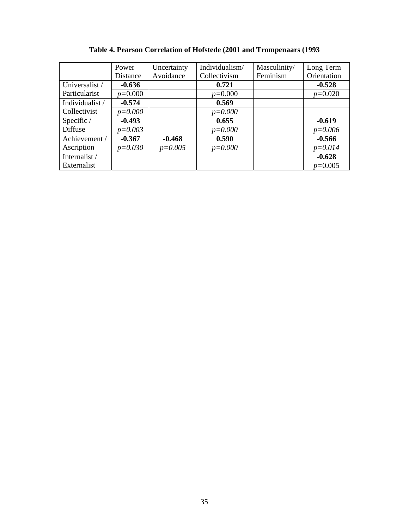|                 | Power       | Uncertainty | Individualism/ | Masculinity/ | Long Term   |
|-----------------|-------------|-------------|----------------|--------------|-------------|
|                 | Distance    | Avoidance   | Collectivism   | Feminism     | Orientation |
| Universalist /  | $-0.636$    |             | 0.721          |              | $-0.528$    |
| Particularist   | $p=0.000$   |             | $p=0.000$      |              | $p=0.020$   |
| Individualist / | $-0.574$    |             | 0.569          |              |             |
| Collectivist    | $p = 0.000$ |             | $p = 0.000$    |              |             |
| Specific /      | $-0.493$    |             | 0.655          |              | $-0.619$    |
| Diffuse         | $p = 0.003$ |             | $p = 0.000$    |              | $p = 0.006$ |
| Achievement /   | $-0.367$    | $-0.468$    | 0.590          |              | $-0.566$    |
| Ascription      | $p = 0.030$ | $p = 0.005$ | $p = 0.000$    |              | $p = 0.014$ |
| Internalist /   |             |             |                |              | $-0.628$    |
| Externalist     |             |             |                |              | $p=0.005$   |

# **Table 4. Pearson Correlation of Hofstede (2001 and Trompenaars (1993**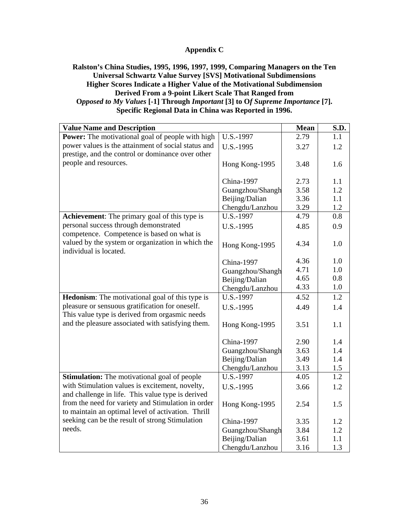# **Appendix C**

# **Ralston's China Studies, 1995, 1996, 1997, 1999, Comparing Managers on the Ten Universal Schwartz Value Survey [SVS] Motivational Subdimensions Higher Scores Indicate a Higher Value of the Motivational Subdimension Derived From a 9-point Likert Scale That Ranged from O***pposed to My Values* **[-1] Through** *Important* **[3] to O***f Supreme Importance* **[7]. Specific Regional Data in China was Reported in 1996.**

| <b>Value Name and Description</b>                       |                  | Mean | S.D. |
|---------------------------------------------------------|------------------|------|------|
| <b>Power:</b> The motivational goal of people with high | U.S.-1997        | 2.79 | 1.1  |
| power values is the attainment of social status and     | U.S.-1995        | 3.27 | 1.2  |
| prestige, and the control or dominance over other       |                  |      |      |
| people and resources.                                   | Hong Kong-1995   | 3.48 | 1.6  |
|                                                         |                  |      |      |
|                                                         | China-1997       | 2.73 | 1.1  |
|                                                         | Guangzhou/Shangh | 3.58 | 1.2  |
|                                                         | Beijing/Dalian   | 3.36 | 1.1  |
|                                                         | Chengdu/Lanzhou  | 3.29 | 1.2  |
| <b>Achievement:</b> The primary goal of this type is    | U.S.-1997        | 4.79 | 0.8  |
| personal success through demonstrated                   | U.S.-1995        | 4.85 | 0.9  |
| competence. Competence is based on what is              |                  |      |      |
| valued by the system or organization in which the       | Hong Kong-1995   | 4.34 | 1.0  |
| individual is located.                                  |                  |      |      |
|                                                         | China-1997       | 4.36 | 1.0  |
|                                                         | Guangzhou/Shangh | 4.71 | 1.0  |
|                                                         | Beijing/Dalian   | 4.65 | 0.8  |
|                                                         | Chengdu/Lanzhou  | 4.33 | 1.0  |
| <b>Hedonism:</b> The motivational goal of this type is  | U.S.-1997        | 4.52 | 1.2  |
| pleasure or sensuous gratification for oneself.         | U.S.-1995        | 4.49 | 1.4  |
| This value type is derived from orgasmic needs          |                  |      |      |
| and the pleasure associated with satisfying them.       | Hong Kong-1995   | 3.51 | 1.1  |
|                                                         |                  |      |      |
|                                                         | China-1997       | 2.90 | 1.4  |
|                                                         | Guangzhou/Shangh | 3.63 | 1.4  |
|                                                         | Beijing/Dalian   | 3.49 | 1.4  |
|                                                         | Chengdu/Lanzhou  | 3.13 | 1.5  |
| <b>Stimulation:</b> The motivational goal of people     | U.S.-1997        | 4.05 | 1.2  |
| with Stimulation values is excitement, novelty,         | U.S.-1995        | 3.66 | 1.2  |
| and challenge in life. This value type is derived       |                  |      |      |
| from the need for variety and Stimulation in order      | Hong Kong-1995   | 2.54 | 1.5  |
| to maintain an optimal level of activation. Thrill      |                  |      |      |
| seeking can be the result of strong Stimulation         | China-1997       | 3.35 | 1.2  |
| needs.                                                  | Guangzhou/Shangh | 3.84 | 1.2  |
|                                                         | Beijing/Dalian   | 3.61 | 1.1  |
|                                                         | Chengdu/Lanzhou  | 3.16 | 1.3  |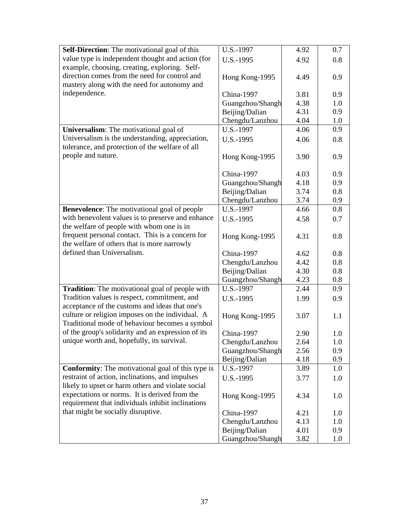| <b>Self-Direction:</b> The motivational goal of this     | U.S.-1997        | 4.92 | 0.7 |
|----------------------------------------------------------|------------------|------|-----|
| value type is independent thought and action (for        | U.S.-1995        | 4.92 | 0.8 |
| example, choosing, creating, exploring. Self-            |                  |      |     |
| direction comes from the need for control and            | Hong Kong-1995   | 4.49 | 0.9 |
| mastery along with the need for autonomy and             |                  |      |     |
| independence.                                            | China-1997       | 3.81 | 0.9 |
|                                                          | Guangzhou/Shangh | 4.38 | 1.0 |
|                                                          | Beijing/Dalian   | 4.31 | 0.9 |
|                                                          | Chengdu/Lanzhou  | 4.04 | 1.0 |
| Universalism: The motivational goal of                   | U.S.-1997        | 4.06 | 0.9 |
| Universalism is the understanding, appreciation,         | U.S.-1995        | 4.06 | 0.8 |
| tolerance, and protection of the welfare of all          |                  |      |     |
| people and nature.                                       | Hong Kong-1995   | 3.90 | 0.9 |
|                                                          |                  |      |     |
|                                                          | China-1997       | 4.03 | 0.9 |
|                                                          | Guangzhou/Shangh | 4.18 | 0.9 |
|                                                          | Beijing/Dalian   | 3.74 | 0.8 |
|                                                          | Chengdu/Lanzhou  | 3.74 | 0.9 |
| Benevolence: The motivational goal of people             | U.S.-1997        | 4.66 | 0.8 |
| with benevolent values is to preserve and enhance        | U.S.-1995        | 4.58 | 0.7 |
| the welfare of people with whom one is in                |                  |      |     |
| frequent personal contact. This is a concern for         | Hong Kong-1995   | 4.31 | 0.8 |
| the welfare of others that is more narrowly              |                  |      |     |
| defined than Universalism.                               | China-1997       | 4.62 | 0.8 |
|                                                          | Chengdu/Lanzhou  | 4.42 | 0.8 |
|                                                          | Beijing/Dalian   | 4.30 | 0.8 |
|                                                          | Guangzhou/Shangh | 4.23 | 0.8 |
| <b>Tradition:</b> The motivational goal of people with   | U.S.-1997        | 2.44 | 0.9 |
| Tradition values is respect, commitment, and             |                  |      |     |
| acceptance of the customs and ideas that one's           | U.S.-1995        | 1.99 | 0.9 |
| culture or religion imposes on the individual. A         |                  |      | 1.1 |
| Traditional mode of behaviour becomes a symbol           | Hong Kong-1995   | 3.07 |     |
| of the group's solidarity and an expression of its       | China-1997       |      | 1.0 |
| unique worth and, hopefully, its survival.               |                  | 2.90 |     |
|                                                          | Chengdu/Lanzhou  | 2.64 | 1.0 |
|                                                          | Guangzhou/Shangh | 2.56 | 0.9 |
|                                                          | Beijing/Dalian   | 4.18 | 0.9 |
| <b>Conformity:</b> The motivational goal of this type is | U.S.-1997        | 3.89 | 1.0 |
| restraint of action, inclinations, and impulses          | U.S.-1995        | 3.77 | 1.0 |
| likely to upset or harm others and violate social        |                  |      |     |
| expectations or norms. It is derived from the            | Hong Kong-1995   | 4.34 | 1.0 |
| requirement that individuals inhibit inclinations        |                  |      |     |
| that might be socially disruptive.                       | China-1997       | 4.21 | 1.0 |
|                                                          | Chengdu/Lanzhou  | 4.13 | 1.0 |
|                                                          | Beijing/Dalian   | 4.01 | 0.9 |
|                                                          | Guangzhou/Shangh | 3.82 | 1.0 |